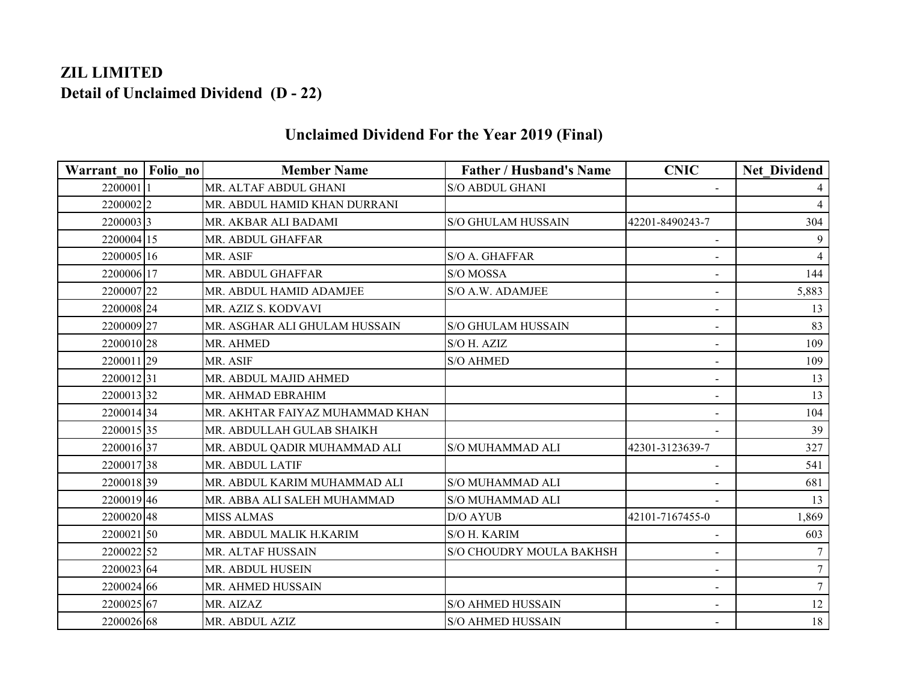## **ZIL LIMITED Detail of Unclaimed Dividend (D - 22)**

| Warrant no Folio no | <b>Member Name</b>              | <b>Father / Husband's Name</b> | <b>CNIC</b>              | <b>Net Dividend</b> |
|---------------------|---------------------------------|--------------------------------|--------------------------|---------------------|
| 22000011            | MR. ALTAF ABDUL GHANI           | <b>S/O ABDUL GHANI</b>         |                          |                     |
| 22000022            | MR. ABDUL HAMID KHAN DURRANI    |                                |                          | $\overline{4}$      |
| 22000033            | MR. AKBAR ALI BADAMI            | <b>S/O GHULAM HUSSAIN</b>      | 42201-8490243-7          | 304                 |
| 2200004 15          | MR. ABDUL GHAFFAR               |                                | $\sim$                   | 9                   |
| 2200005 16          | MR. ASIF                        | S/O A. GHAFFAR                 |                          | $\overline{4}$      |
| 2200006 17          | MR. ABDUL GHAFFAR               | S/O MOSSA                      |                          | 144                 |
| 2200007 22          | MR. ABDUL HAMID ADAMJEE         | S/O A.W. ADAMJEE               | $\blacksquare$           | 5,883               |
| 2200008 24          | MR. AZIZ S. KODVAVI             |                                | $\blacksquare$           | 13                  |
| 2200009 27          | MR. ASGHAR ALI GHULAM HUSSAIN   | <b>S/O GHULAM HUSSAIN</b>      | $\blacksquare$           | 83                  |
| 2200010 28          | MR. AHMED                       | S/O H. AZIZ                    | $\blacksquare$           | 109                 |
| 2200011 29          | MR. ASIF                        | <b>S/O AHMED</b>               | $\overline{\phantom{0}}$ | 109                 |
| 220001231           | MR. ABDUL MAJID AHMED           |                                | $\sim$                   | 13                  |
| 220001332           | MR. AHMAD EBRAHIM               |                                | $\sim$                   | 13                  |
| 220001434           | MR. AKHTAR FAIYAZ MUHAMMAD KHAN |                                |                          | 104                 |
| 2200015 35          | MR. ABDULLAH GULAB SHAIKH       |                                |                          | 39                  |
| 220001637           | MR. ABDUL QADIR MUHAMMAD ALI    | S/O MUHAMMAD ALI               | 42301-3123639-7          | 327                 |
| 220001738           | MR. ABDUL LATIF                 |                                | $\sim$                   | 541                 |
| 220001839           | MR. ABDUL KARIM MUHAMMAD ALI    | S/O MUHAMMAD ALI               |                          | 681                 |
| 2200019 46          | MR. ABBA ALI SALEH MUHAMMAD     | <b>S/O MUHAMMAD ALI</b>        |                          | 13                  |
| 2200020 48          | <b>MISS ALMAS</b>               | <b>D/O AYUB</b>                | 42101-7167455-0          | 1,869               |
| 220002150           | MR. ABDUL MALIK H.KARIM         | S/O H. KARIM                   | $\sim$                   | 603                 |
| 2200022 52          | MR. ALTAF HUSSAIN               | S/O CHOUDRY MOULA BAKHSH       | $\blacksquare$           |                     |
| 2200023 64          | MR. ABDUL HUSEIN                |                                | $\blacksquare$           | $\overline{7}$      |
| 2200024 66          | MR. AHMED HUSSAIN               |                                |                          | $\tau$              |
| 2200025 67          | MR. AIZAZ                       | <b>S/O AHMED HUSSAIN</b>       | $\sim$                   | 12                  |
| 2200026 68          | MR. ABDUL AZIZ                  | <b>S/O AHMED HUSSAIN</b>       | $\sim$                   | 18                  |

## **Unclaimed Dividend For the Year 2019 (Final)**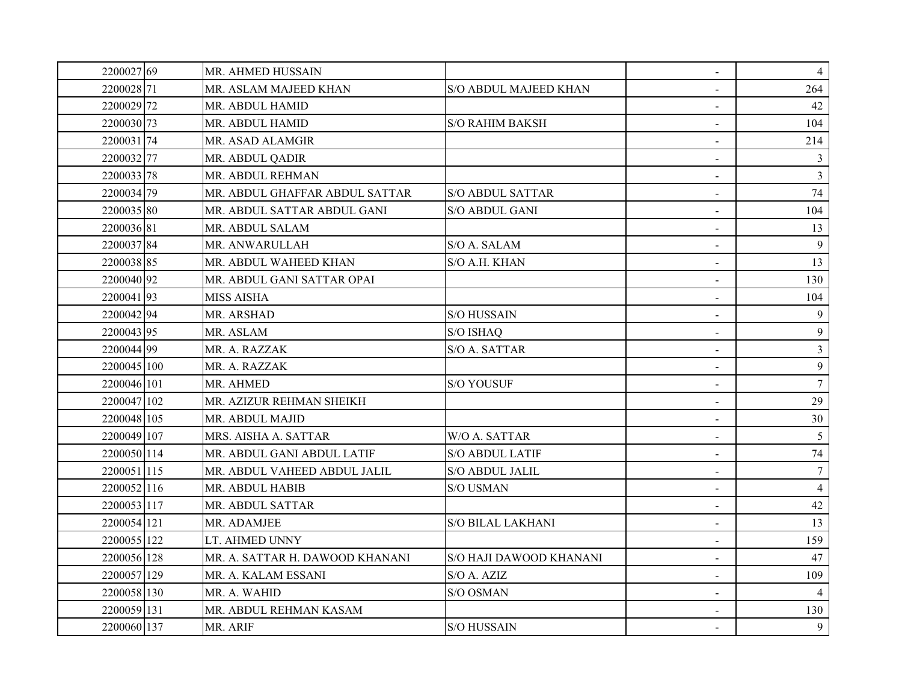| 2200027 69  | MR. AHMED HUSSAIN               |                          | $\blacksquare$           | $\overline{4}$ |
|-------------|---------------------------------|--------------------------|--------------------------|----------------|
| 2200028 71  | MR. ASLAM MAJEED KHAN           | S/O ABDUL MAJEED KHAN    |                          | 264            |
| 2200029 72  | MR. ABDUL HAMID                 |                          |                          | 42             |
| 2200030 73  | MR. ABDUL HAMID                 | <b>S/O RAHIM BAKSH</b>   |                          | 104            |
| 220003174   | MR. ASAD ALAMGIR                |                          | $\overline{\phantom{a}}$ | 214            |
| 2200032 77  | MR. ABDUL QADIR                 |                          |                          | $\mathfrak{Z}$ |
| 2200033 78  | MR. ABDUL REHMAN                |                          | $\sim$                   | 3              |
| 2200034 79  | MR. ABDUL GHAFFAR ABDUL SATTAR  | <b>S/O ABDUL SATTAR</b>  |                          | 74             |
| 2200035 80  | MR. ABDUL SATTAR ABDUL GANI     | S/O ABDUL GANI           | $\blacksquare$           | 104            |
| 220003681   | MR. ABDUL SALAM                 |                          |                          | 13             |
| 220003784   | MR. ANWARULLAH                  | S/O A. SALAM             | $\blacksquare$           | 9              |
| 2200038 85  | MR. ABDUL WAHEED KHAN           | S/O A.H. KHAN            | $\sim$                   | 13             |
| 2200040 92  | MR. ABDUL GANI SATTAR OPAI      |                          | $\blacksquare$           | 130            |
| 220004193   | <b>MISS AISHA</b>               |                          | $\blacksquare$           | 104            |
| 220004294   | MR. ARSHAD                      | <b>S/O HUSSAIN</b>       |                          | 9              |
| 2200043 95  | MR. ASLAM                       | S/O ISHAQ                | $\blacksquare$           | 9              |
| 2200044 99  | MR. A. RAZZAK                   | S/O A. SATTAR            |                          | $\mathfrak{Z}$ |
| 2200045 100 | MR. A. RAZZAK                   |                          |                          | 9              |
| 2200046 101 | <b>MR. AHMED</b>                | <b>S/O YOUSUF</b>        |                          | $\tau$         |
| 2200047 102 | MR. AZIZUR REHMAN SHEIKH        |                          | $\blacksquare$           | 29             |
| 2200048 105 | MR. ABDUL MAJID                 |                          |                          | $30\,$         |
| 2200049 107 | MRS. AISHA A. SATTAR            | W/O A. SATTAR            | $\blacksquare$           | 5              |
| 2200050 114 | MR. ABDUL GANI ABDUL LATIF      | <b>S/O ABDUL LATIF</b>   |                          | 74             |
| 2200051 115 | MR. ABDUL VAHEED ABDUL JALIL    | S/O ABDUL JALIL          | $\blacksquare$           | $\tau$         |
| 2200052 116 | MR. ABDUL HABIB                 | <b>S/O USMAN</b>         |                          | $\overline{4}$ |
| 2200053 117 | MR. ABDUL SATTAR                |                          | $\sim$                   | 42             |
| 2200054 121 | MR. ADAMJEE                     | <b>S/O BILAL LAKHANI</b> |                          | 13             |
| 2200055 122 | LT. AHMED UNNY                  |                          | $\blacksquare$           | 159            |
| 2200056 128 | MR. A. SATTAR H. DAWOOD KHANANI | S/O HAJI DAWOOD KHANANI  |                          | 47             |
| 2200057 129 | MR. A. KALAM ESSANI             | S/O A. AZIZ              | $\blacksquare$           | 109            |
| 2200058 130 | MR. A. WAHID                    | S/O OSMAN                | $\blacksquare$           |                |
| 2200059 131 | MR. ABDUL REHMAN KASAM          |                          | $\sim$                   | 130            |
| 2200060 137 | MR. ARIF                        | <b>S/O HUSSAIN</b>       | $\blacksquare$           | 9              |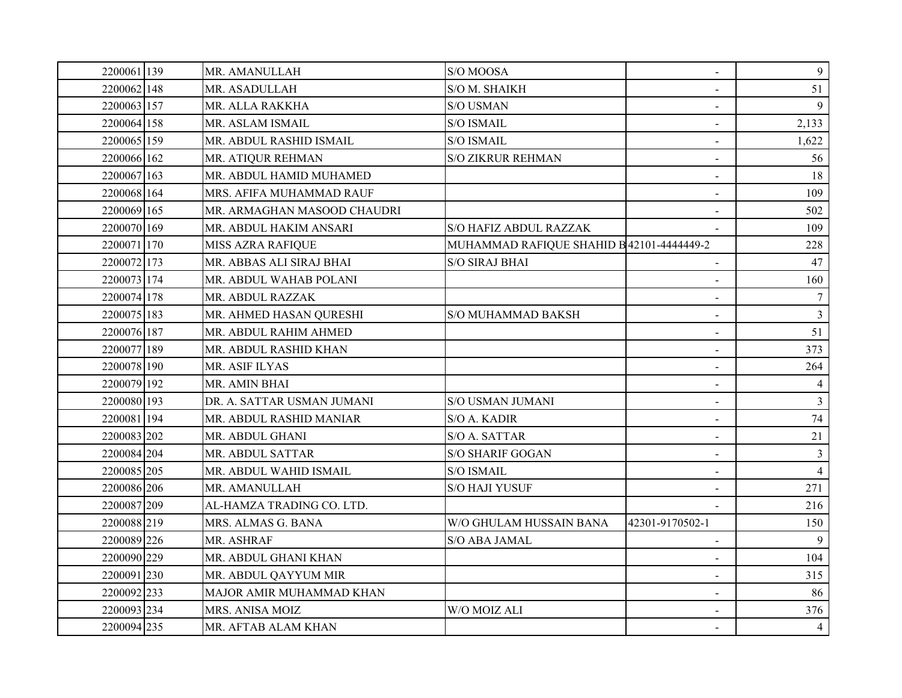| 2200061 139 | MR. AMANULLAH               | S/O MOOSA                                 | $\blacksquare$           | 9              |
|-------------|-----------------------------|-------------------------------------------|--------------------------|----------------|
| 2200062 148 | MR. ASADULLAH               | S/O M. SHAIKH                             |                          | 51             |
| 2200063 157 | MR. ALLA RAKKHA             | <b>S/O USMAN</b>                          |                          | $\mathbf{Q}$   |
| 2200064 158 | MR. ASLAM ISMAIL            | <b>S/O ISMAIL</b>                         |                          | 2,133          |
| 2200065 159 | MR. ABDUL RASHID ISMAIL     | S/O ISMAIL                                | $\blacksquare$           | 1,622          |
| 2200066 162 | MR. ATIQUR REHMAN           | <b>S/O ZIKRUR REHMAN</b>                  |                          | 56             |
| 2200067 163 | MR. ABDUL HAMID MUHAMED     |                                           | $\blacksquare$           | 18             |
| 2200068 164 | MRS. AFIFA MUHAMMAD RAUF    |                                           |                          | 109            |
| 2200069 165 | MR. ARMAGHAN MASOOD CHAUDRI |                                           | $\blacksquare$           | 502            |
| 2200070 169 | MR. ABDUL HAKIM ANSARI      | <b>S/O HAFIZ ABDUL RAZZAK</b>             |                          | 109            |
| 2200071 170 | <b>MISS AZRA RAFIQUE</b>    | MUHAMMAD RAFIQUE SHAHID B 42101-4444449-2 |                          | 228            |
| 2200072 173 | MR. ABBAS ALI SIRAJ BHAI    | <b>S/O SIRAJ BHAI</b>                     |                          | 47             |
| 2200073 174 | MR. ABDUL WAHAB POLANI      |                                           | $\blacksquare$           | 160            |
| 2200074 178 | MR. ABDUL RAZZAK            |                                           |                          | $\tau$         |
| 2200075 183 | MR. AHMED HASAN QURESHI     | S/O MUHAMMAD BAKSH                        | $\sim$                   | $\overline{3}$ |
| 2200076 187 | MR. ABDUL RAHIM AHMED       |                                           | $\blacksquare$           | 51             |
| 2200077 189 | MR. ABDUL RASHID KHAN       |                                           |                          | 373            |
| 2200078 190 | <b>MR. ASIF ILYAS</b>       |                                           |                          | 264            |
| 2200079 192 | MR. AMIN BHAI               |                                           |                          | 4              |
| 2200080 193 | DR. A. SATTAR USMAN JUMANI  | S/O USMAN JUMANI                          | $\blacksquare$           | $\overline{3}$ |
| 2200081 194 | MR. ABDUL RASHID MANIAR     | S/O A. KADIR                              |                          | 74             |
| 2200083 202 | MR. ABDUL GHANI             | S/O A. SATTAR                             |                          | 21             |
| 2200084 204 | MR. ABDUL SATTAR            | <b>S/O SHARIF GOGAN</b>                   |                          | 3              |
| 2200085 205 | MR. ABDUL WAHID ISMAIL      | S/O ISMAIL                                | $\overline{\phantom{a}}$ | $\overline{4}$ |
| 2200086 206 | MR. AMANULLAH               | <b>S/O HAJI YUSUF</b>                     |                          | 271            |
| 2200087 209 | AL-HAMZA TRADING CO. LTD.   |                                           |                          | 216            |
| 2200088 219 | MRS. ALMAS G. BANA          | W/O GHULAM HUSSAIN BANA                   | 42301-9170502-1          | 150            |
| 2200089 226 | MR. ASHRAF                  | S/O ABA JAMAL                             | $\blacksquare$           | 9              |
| 2200090 229 | MR. ABDUL GHANI KHAN        |                                           |                          | 104            |
| 2200091 230 | MR. ABDUL QAYYUM MIR        |                                           |                          | 315            |
| 2200092 233 | MAJOR AMIR MUHAMMAD KHAN    |                                           | $\blacksquare$           | 86             |
| 2200093 234 | MRS. ANISA MOIZ             | W/O MOIZ ALI                              |                          | 376            |
| 2200094 235 | MR. AFTAB ALAM KHAN         |                                           |                          | $\overline{4}$ |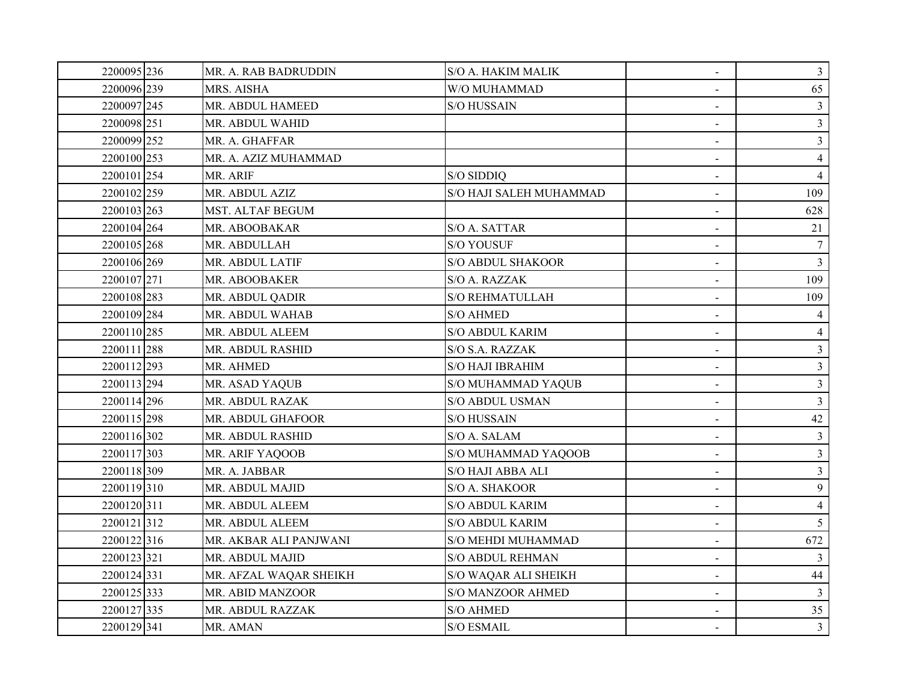| 2200095 236 | MR. A. RAB BADRUDDIN   | S/O A. HAKIM MALIK        | $\blacksquare$               | $\mathbf{3}$   |
|-------------|------------------------|---------------------------|------------------------------|----------------|
| 2200096 239 | MRS. AISHA             | W/O MUHAMMAD              | $\overline{\phantom{0}}$     | 65             |
| 2200097 245 | MR. ABDUL HAMEED       | <b>S/O HUSSAIN</b>        |                              | $\overline{3}$ |
| 2200098 251 | MR. ABDUL WAHID        |                           | $\sim$                       | 3 <sup>1</sup> |
| 2200099 252 | MR. A. GHAFFAR         |                           | $\sim$                       | 3 <sup>1</sup> |
| 2200100 253 | MR. A. AZIZ MUHAMMAD   |                           | $\qquad \qquad \blacksquare$ | $\overline{4}$ |
| 2200101 254 | MR. ARIF               | S/O SIDDIQ                |                              | $\overline{4}$ |
| 2200102 259 | MR. ABDUL AZIZ         | S/O HAJI SALEH MUHAMMAD   |                              | 109            |
| 2200103 263 | MST. ALTAF BEGUM       |                           | $\blacksquare$               | 628            |
| 2200104 264 | MR. ABOOBAKAR          | S/O A. SATTAR             |                              | 21             |
| 2200105 268 | MR. ABDULLAH           | <b>S/O YOUSUF</b>         | $\sim$                       | $\tau$         |
| 2200106 269 | MR. ABDUL LATIF        | <b>S/O ABDUL SHAKOOR</b>  | $\blacksquare$               | 3 <sup>1</sup> |
| 2200107 271 | MR. ABOOBAKER          | S/O A. RAZZAK             | $\blacksquare$               | 109            |
| 2200108 283 | MR. ABDUL QADIR        | <b>S/O REHMATULLAH</b>    | $\blacksquare$               | 109            |
| 2200109 284 | MR. ABDUL WAHAB        | <b>S/O AHMED</b>          | $\blacksquare$               | 4              |
| 2200110 285 | MR. ABDUL ALEEM        | <b>S/O ABDUL KARIM</b>    | $\blacksquare$               | $\overline{4}$ |
| 2200111 288 | MR. ABDUL RASHID       | S/O S.A. RAZZAK           | $\overline{\phantom{0}}$     | $\mathfrak{Z}$ |
| 2200112 293 | MR. AHMED              | S/O HAJI IBRAHIM          |                              | 3 <sup>1</sup> |
| 2200113 294 | MR. ASAD YAQUB         | S/O MUHAMMAD YAQUB        |                              | $\mathfrak{Z}$ |
| 2200114 296 | MR. ABDUL RAZAK        | <b>S/O ABDUL USMAN</b>    | $\blacksquare$               | 3 <sup>1</sup> |
| 2200115 298 | MR. ABDUL GHAFOOR      | <b>S/O HUSSAIN</b>        |                              | 42             |
| 2200116 302 | MR. ABDUL RASHID       | S/O A. SALAM              |                              | $\mathfrak{Z}$ |
| 2200117303  | MR. ARIF YAQOOB        | S/O MUHAMMAD YAQOOB       |                              | 3 <sup>1</sup> |
| 2200118 309 | MR. A. JABBAR          | S/O HAJI ABBA ALI         | $\sim$                       | $\mathfrak{Z}$ |
| 2200119 310 | MR. ABDUL MAJID        | S/O A. SHAKOOR            |                              | 9              |
| 2200120 311 | MR. ABDUL ALEEM        | <b>S/O ABDUL KARIM</b>    | $\blacksquare$               | $\overline{4}$ |
| 2200121312  | MR. ABDUL ALEEM        | <b>S/O ABDUL KARIM</b>    | $\overline{\phantom{0}}$     | 5 <sup>5</sup> |
| 2200122316  | MR. AKBAR ALI PANJWANI | <b>S/O MEHDI MUHAMMAD</b> | $\blacksquare$               | 672            |
| 2200123 321 | MR. ABDUL MAJID        | <b>S/O ABDUL REHMAN</b>   |                              | $\mathfrak{Z}$ |
| 2200124 331 | MR. AFZAL WAQAR SHEIKH | S/O WAQAR ALI SHEIKH      |                              | 44             |
| 2200125 333 | MR. ABID MANZOOR       | <b>S/O MANZOOR AHMED</b>  | $\blacksquare$               | $\mathfrak{Z}$ |
| 2200127 335 | MR. ABDUL RAZZAK       | <b>S/O AHMED</b>          |                              | 35             |
| 2200129 341 | MR. AMAN               | <b>S/O ESMAIL</b>         |                              | $\overline{3}$ |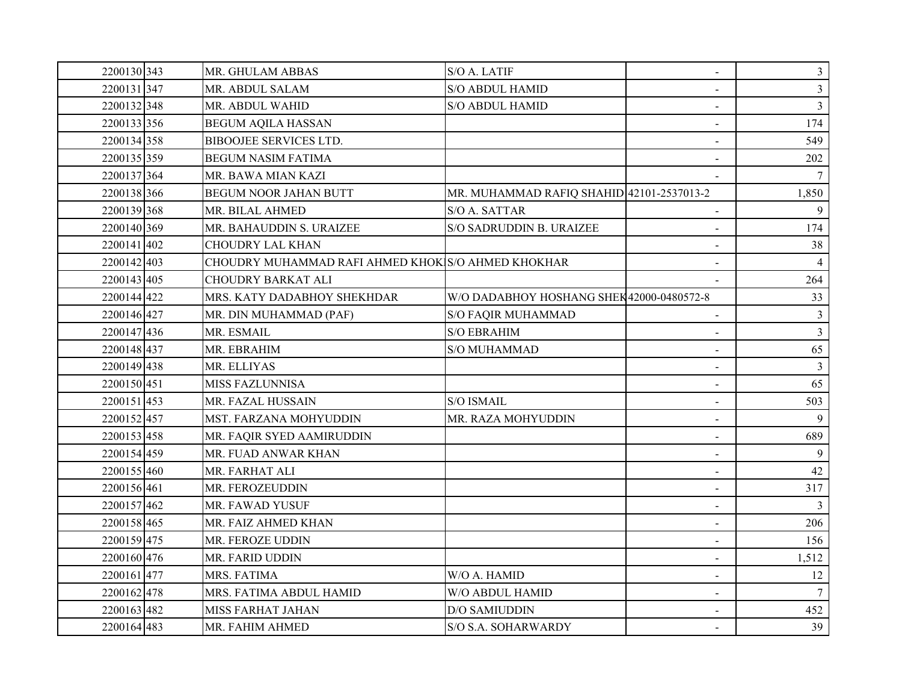| 2200130 343 | MR. GHULAM ABBAS                                   | S/O A. LATIF                              | $\blacksquare$ | $\mathfrak{Z}$ |
|-------------|----------------------------------------------------|-------------------------------------------|----------------|----------------|
| 2200131347  | MR. ABDUL SALAM                                    | <b>S/O ABDUL HAMID</b>                    |                | $\mathfrak{Z}$ |
| 2200132348  | MR. ABDUL WAHID                                    | <b>S/O ABDUL HAMID</b>                    |                | $\overline{3}$ |
| 2200133 356 | <b>BEGUM AQILA HASSAN</b>                          |                                           |                | 174            |
| 2200134 358 | <b>BIBOOJEE SERVICES LTD.</b>                      |                                           | $\blacksquare$ | 549            |
| 2200135 359 | <b>BEGUM NASIM FATIMA</b>                          |                                           |                | 202            |
| 2200137 364 | MR. BAWA MIAN KAZI                                 |                                           |                | $\tau$         |
| 2200138 366 | <b>BEGUM NOOR JAHAN BUTT</b>                       | MR. MUHAMMAD RAFIQ SHAHID 42101-2537013-2 |                | 1,850          |
| 2200139 368 | MR. BILAL AHMED                                    | S/O A. SATTAR                             |                | 9              |
| 2200140 369 | MR. BAHAUDDIN S. URAIZEE                           | S/O SADRUDDIN B. URAIZEE                  |                | 174            |
| 2200141402  | CHOUDRY LAL KHAN                                   |                                           |                | 38             |
| 2200142403  | CHOUDRY MUHAMMAD RAFI AHMED KHOK S/O AHMED KHOKHAR |                                           |                |                |
| 2200143 405 | <b>CHOUDRY BARKAT ALI</b>                          |                                           | $\sim$         | 264            |
| 2200144422  | MRS. KATY DADABHOY SHEKHDAR                        | W/O DADABHOY HOSHANG SHEK42000-0480572-8  |                | 33             |
| 2200146 427 | MR. DIN MUHAMMAD (PAF)                             | <b>S/O FAQIR MUHAMMAD</b>                 |                | 3              |
| 2200147 436 | MR. ESMAIL                                         | <b>S/O EBRAHIM</b>                        | $\blacksquare$ | $\overline{3}$ |
| 2200148 437 | MR. EBRAHIM                                        | S/O MUHAMMAD                              |                | 65             |
| 2200149 438 | MR. ELLIYAS                                        |                                           |                | 3              |
| 2200150 451 | <b>MISS FAZLUNNISA</b>                             |                                           |                | 65             |
| 2200151453  | MR. FAZAL HUSSAIN                                  | <b>S/O ISMAIL</b>                         | $\blacksquare$ | 503            |
| 2200152457  | MST. FARZANA MOHYUDDIN                             | MR. RAZA MOHYUDDIN                        |                | 9              |
| 2200153 458 | MR. FAQIR SYED AAMIRUDDIN                          |                                           |                | 689            |
| 2200154459  | MR. FUAD ANWAR KHAN                                |                                           |                | 9              |
| 2200155 460 | MR. FARHAT ALI                                     |                                           | $\blacksquare$ | 42             |
| 2200156 461 | MR. FEROZEUDDIN                                    |                                           |                | 317            |
| 2200157462  | MR. FAWAD YUSUF                                    |                                           | $\sim$         |                |
| 2200158 465 | MR. FAIZ AHMED KHAN                                |                                           | $\blacksquare$ | 206            |
| 2200159 475 | MR. FEROZE UDDIN                                   |                                           | $\blacksquare$ | 156            |
| 2200160 476 | MR. FARID UDDIN                                    |                                           |                | 1,512          |
| 2200161477  | MRS. FATIMA                                        | W/O A. HAMID                              |                | 12             |
| 2200162478  | MRS. FATIMA ABDUL HAMID                            | W/O ABDUL HAMID                           | $\blacksquare$ | 7              |
| 2200163482  | <b>MISS FARHAT JAHAN</b>                           | <b>D/O SAMIUDDIN</b>                      |                | 452            |
| 2200164483  | MR. FAHIM AHMED                                    | S/O S.A. SOHARWARDY                       |                | 39             |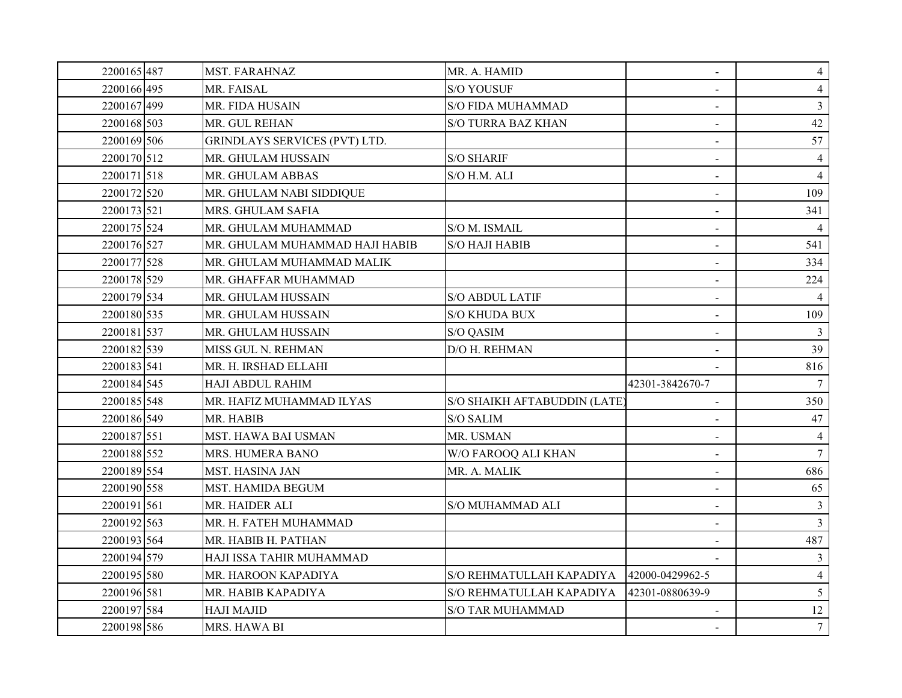| 2200165487  | MST. FARAHNAZ                        | MR. A. HAMID                 | $\blacksquare$  | $\overline{4}$  |
|-------------|--------------------------------------|------------------------------|-----------------|-----------------|
| 2200166 495 | MR. FAISAL                           | <b>S/O YOUSUF</b>            |                 | $\overline{4}$  |
| 2200167499  | MR. FIDA HUSAIN                      | <b>S/O FIDA MUHAMMAD</b>     |                 | $\overline{3}$  |
| 2200168 503 | MR. GUL REHAN                        | <b>S/O TURRA BAZ KHAN</b>    |                 | 42              |
| 2200169 506 | <b>GRINDLAYS SERVICES (PVT) LTD.</b> |                              | $\blacksquare$  | 57              |
| 2200170 512 | MR. GHULAM HUSSAIN                   | <b>S/O SHARIF</b>            |                 | $\overline{4}$  |
| 2200171 518 | MR. GHULAM ABBAS                     | S/O H.M. ALI                 | $\sim$          | $\overline{4}$  |
| 2200172 520 | MR. GHULAM NABI SIDDIQUE             |                              |                 | 109             |
| 2200173 521 | MRS. GHULAM SAFIA                    |                              | $\blacksquare$  | 341             |
| 2200175 524 | MR. GHULAM MUHAMMAD                  | S/O M. ISMAIL                |                 | $\overline{4}$  |
| 2200176 527 | MR. GHULAM MUHAMMAD HAJI HABIB       | <b>S/O HAJI HABIB</b>        | $\sim$          | 541             |
| 2200177 528 | MR. GHULAM MUHAMMAD MALIK            |                              | $\blacksquare$  | 334             |
| 2200178 529 | MR. GHAFFAR MUHAMMAD                 |                              | $\sim$          | 224             |
| 2200179 534 | MR. GHULAM HUSSAIN                   | <b>S/O ABDUL LATIF</b>       | $\blacksquare$  | $\overline{4}$  |
| 2200180 535 | MR. GHULAM HUSSAIN                   | S/O KHUDA BUX                | $\blacksquare$  | 109             |
| 2200181 537 | MR. GHULAM HUSSAIN                   | S/O QASIM                    | $\blacksquare$  | $\mathbf{3}$    |
| 2200182 539 | MISS GUL N. REHMAN                   | D/O H. REHMAN                |                 | 39              |
| 2200183 541 | MR. H. IRSHAD ELLAHI                 |                              |                 | 816             |
| 2200184 545 | HAJI ABDUL RAHIM                     |                              | 42301-3842670-7 | $\tau$          |
| 2200185 548 | MR. HAFIZ MUHAMMAD ILYAS             | S/O SHAIKH AFTABUDDIN (LATE) | $\blacksquare$  | 350             |
| 2200186 549 | MR. HABIB                            | S/O SALIM                    |                 | 47              |
| 2200187 551 | MST. HAWA BAI USMAN                  | MR. USMAN                    |                 | 4               |
| 2200188 552 | MRS. HUMERA BANO                     | W/O FAROOQ ALI KHAN          |                 | $\tau$          |
| 2200189 554 | <b>MST. HASINA JAN</b>               | MR. A. MALIK                 | $\sim$          | 686             |
| 2200190 558 | MST. HAMIDA BEGUM                    |                              |                 | 65              |
| 2200191 561 | MR. HAIDER ALI                       | S/O MUHAMMAD ALI             | $\sim$          | 3               |
| 2200192 563 | MR. H. FATEH MUHAMMAD                |                              | $\sim$          | $\overline{3}$  |
| 2200193 564 | MR. HABIB H. PATHAN                  |                              | $\sim$          | 487             |
| 2200194 579 | HAJI ISSA TAHIR MUHAMMAD             |                              |                 | 3               |
| 2200195 580 | MR. HAROON KAPADIYA                  | S/O REHMATULLAH KAPADIYA     | 42000-0429962-5 | $\overline{4}$  |
| 2200196 581 | MR. HABIB KAPADIYA                   | S/O REHMATULLAH KAPADIYA     | 42301-0880639-9 | $5\overline{)}$ |
| 2200197 584 | <b>HAJI MAJID</b>                    | <b>S/O TAR MUHAMMAD</b>      |                 | 12              |
| 2200198 586 | MRS. HAWA BI                         |                              |                 | 7 <sup>7</sup>  |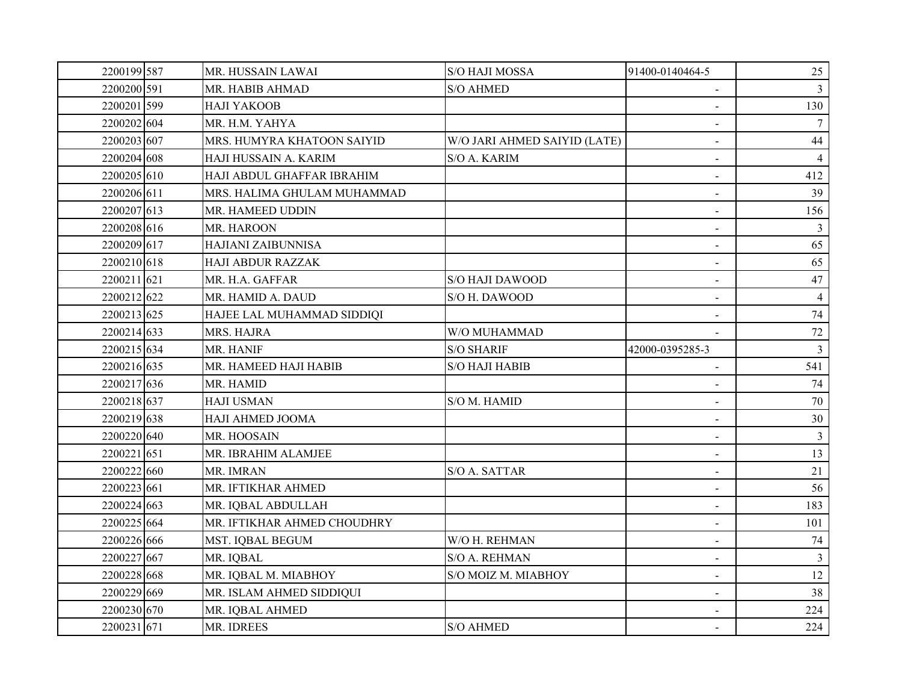| 2200199 587 | MR. HUSSAIN LAWAI           | S/O HAJI MOSSA               | 91400-0140464-5          | 25             |
|-------------|-----------------------------|------------------------------|--------------------------|----------------|
| 2200200 591 | MR. HABIB AHMAD             | <b>S/O AHMED</b>             | $\sim$                   | 3              |
| 2200201 599 | НАЛ ҮАКООВ                  |                              |                          | 130            |
| 2200202 604 | MR. H.M. YAHYA              |                              |                          |                |
| 2200203 607 | MRS. HUMYRA KHATOON SAIYID  | W/O JARI AHMED SAIYID (LATE) |                          | 44             |
| 2200204 608 | HAJI HUSSAIN A. KARIM       | S/O A. KARIM                 | $\sim$                   | $\overline{4}$ |
| 2200205 610 | HAJI ABDUL GHAFFAR IBRAHIM  |                              |                          | 412            |
| 2200206 611 | MRS. HALIMA GHULAM MUHAMMAD |                              | $\sim$                   | 39             |
| 2200207 613 | MR. HAMEED UDDIN            |                              | $\blacksquare$           | 156            |
| 2200208 616 | MR. HAROON                  |                              | $\blacksquare$           | 3              |
| 2200209 617 | HAJIANI ZAIBUNNISA          |                              | $\sim$                   | 65             |
| 2200210 618 | <b>HAJI ABDUR RAZZAK</b>    |                              |                          | 65             |
| 2200211 621 | MR. H.A. GAFFAR             | S/O HAJI DAWOOD              | $\blacksquare$           | 47             |
| 2200212 622 | MR. HAMID A. DAUD           | S/O H. DAWOOD                |                          | $\overline{4}$ |
| 2200213 625 | HAJEE LAL MUHAMMAD SIDDIQI  |                              |                          | 74             |
| 2200214 633 | MRS. HAJRA                  | W/O MUHAMMAD                 |                          | $72\,$         |
| 2200215 634 | MR. HANIF                   | <b>S/O SHARIF</b>            | 42000-0395285-3          | 3              |
| 2200216 635 | MR. HAMEED HAJI HABIB       | S/O HAJI HABIB               |                          | 541            |
| 2200217 636 | MR. HAMID                   |                              | $\sim$                   | 74             |
| 2200218 637 | <b>HAJI USMAN</b>           | S/O M. HAMID                 | $\blacksquare$           | 70             |
| 2200219 638 | HAJI AHMED JOOMA            |                              | $\sim$                   | $30\,$         |
| 2200220 640 | MR. HOOSAIN                 |                              | $\sim$                   | $\overline{3}$ |
| 2200221 651 | MR. IBRAHIM ALAMJEE         |                              | $\blacksquare$           | 13             |
| 2200222 660 | MR. IMRAN                   | S/O A. SATTAR                | $\blacksquare$           | 21             |
| 2200223 661 | MR. IFTIKHAR AHMED          |                              |                          | 56             |
| 2200224 663 | MR. IQBAL ABDULLAH          |                              | $\sim$                   | 183            |
| 2200225 664 | MR. IFTIKHAR AHMED CHOUDHRY |                              | $\blacksquare$           | 101            |
| 2200226 666 | MST. IQBAL BEGUM            | W/O H. REHMAN                | $\blacksquare$           | 74             |
| 2200227 667 | MR. IQBAL                   | S/O A. REHMAN                |                          | $\mathfrak{Z}$ |
| 2200228 668 | MR. IQBAL M. MIABHOY        | S/O MOIZ M. MIABHOY          | $\sim$                   | 12             |
| 2200229 669 | MR. ISLAM AHMED SIDDIQUI    |                              | $\blacksquare$           | 38             |
| 2200230 670 | MR. IQBAL AHMED             |                              | $\blacksquare$           | 224            |
| 2200231 671 | MR. IDREES                  | <b>S/O AHMED</b>             | $\overline{\phantom{0}}$ | 224            |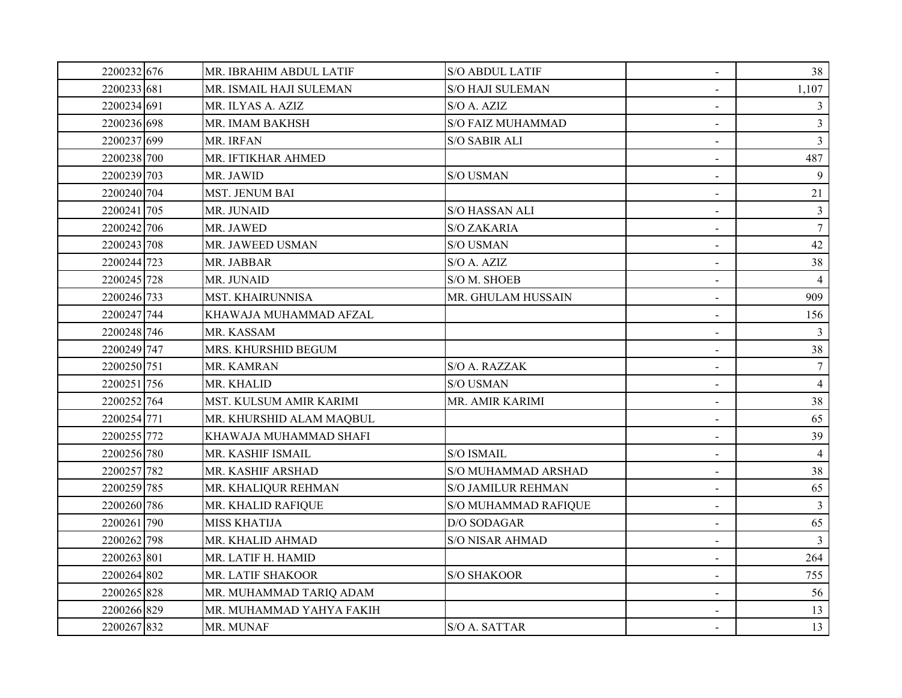| 2200232 676 | MR. IBRAHIM ABDUL LATIF  | <b>S/O ABDUL LATIF</b>    | $\blacksquare$ | 38              |
|-------------|--------------------------|---------------------------|----------------|-----------------|
| 2200233 681 | MR. ISMAIL HAJI SULEMAN  | <b>S/O HAJI SULEMAN</b>   | $\sim$         | 1,107           |
| 2200234 691 | MR. ILYAS A. AZIZ        | S/O A. AZIZ               |                | 3               |
| 2200236 698 | MR. IMAM BAKHSH          | <b>S/O FAIZ MUHAMMAD</b>  | $\sim$         | 3               |
| 2200237 699 | MR. IRFAN                | S/O SABIR ALI             | $\blacksquare$ | $\overline{3}$  |
| 2200238 700 | MR. IFTIKHAR AHMED       |                           |                | 487             |
| 2200239 703 | MR. JAWID                | S/O USMAN                 |                | $\mathbf{Q}$    |
| 2200240 704 | <b>MST. JENUM BAI</b>    |                           |                | 21              |
| 2200241 705 | MR. JUNAID               | <b>S/O HASSAN ALI</b>     | $\sim$         | $\mathfrak{Z}$  |
| 2200242 706 | MR. JAWED                | S/O ZAKARIA               |                | $7\phantom{.0}$ |
| 2200243 708 | MR. JAWEED USMAN         | S/O USMAN                 | $\sim$         | 42              |
| 2200244 723 | MR. JABBAR               | S/O A. AZIZ               |                | 38              |
| 2200245 728 | MR. JUNAID               | S/O M. SHOEB              | $\blacksquare$ | $\overline{4}$  |
| 2200246 733 | <b>MST. KHAIRUNNISA</b>  | MR. GHULAM HUSSAIN        | $\blacksquare$ | 909             |
| 2200247 744 | KHAWAJA MUHAMMAD AFZAL   |                           |                | 156             |
| 2200248 746 | MR. KASSAM               |                           |                | 3               |
| 2200249 747 | MRS. KHURSHID BEGUM      |                           | $\sim$         | 38              |
| 2200250 751 | MR. KAMRAN               | S/O A. RAZZAK             |                | $\tau$          |
| 2200251 756 | MR. KHALID               | S/O USMAN                 | $\sim$         | $\overline{4}$  |
| 2200252 764 | MST. KULSUM AMIR KARIMI  | MR. AMIR KARIMI           | $\blacksquare$ | 38              |
| 2200254 771 | MR. KHURSHID ALAM MAQBUL |                           | $\sim$         | 65              |
| 2200255 772 | KHAWAJA MUHAMMAD SHAFI   |                           |                | 39              |
| 2200256 780 | MR. KASHIF ISMAIL        | S/O ISMAIL                | $\blacksquare$ | $\overline{4}$  |
| 2200257 782 | MR. KASHIF ARSHAD        | S/O MUHAMMAD ARSHAD       | $\blacksquare$ | 38              |
| 2200259 785 | MR. KHALIQUR REHMAN      | <b>S/O JAMILUR REHMAN</b> |                | 65              |
| 2200260 786 | MR. KHALID RAFIQUE       | S/O MUHAMMAD RAFIQUE      |                | $\overline{3}$  |
| 2200261 790 | <b>MISS KHATIJA</b>      | D/O SODAGAR               |                | 65              |
| 2200262 798 | MR. KHALID AHMAD         | <b>S/O NISAR AHMAD</b>    | $\blacksquare$ | 3               |
| 2200263 801 | MR. LATIF H. HAMID       |                           |                | 264             |
| 2200264 802 | MR. LATIF SHAKOOR        | S/O SHAKOOR               | $\blacksquare$ | 755             |
| 2200265 828 | MR. MUHAMMAD TARIQ ADAM  |                           |                | 56              |
| 2200266 829 | MR. MUHAMMAD YAHYA FAKIH |                           | $\blacksquare$ | 13              |
| 2200267 832 | MR. MUNAF                | S/O A. SATTAR             |                | 13              |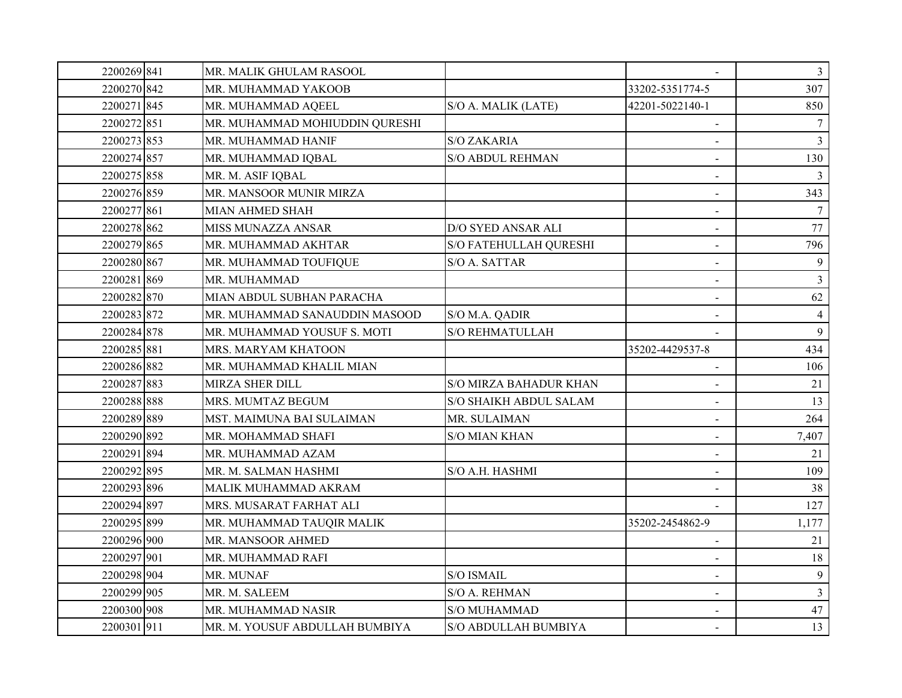| 2200269 841 | MR. MALIK GHULAM RASOOL        |                           |                          | $\mathfrak{Z}$ |
|-------------|--------------------------------|---------------------------|--------------------------|----------------|
| 2200270 842 | MR. MUHAMMAD YAKOOB            |                           | 33202-5351774-5          | 307            |
| 2200271845  | MR. MUHAMMAD AQEEL             | S/O A. MALIK (LATE)       | 42201-5022140-1          | 850            |
| 2200272 851 | MR. MUHAMMAD MOHIUDDIN QURESHI |                           |                          |                |
| 2200273 853 | MR. MUHAMMAD HANIF             | <b>S/O ZAKARIA</b>        | $\blacksquare$           | $\overline{3}$ |
| 2200274 857 | MR. MUHAMMAD IQBAL             | <b>S/O ABDUL REHMAN</b>   |                          | 130            |
| 2200275 858 | MR. M. ASIF IQBAL              |                           | $\sim$                   | 3              |
| 2200276 859 | MR. MANSOOR MUNIR MIRZA        |                           |                          | 343            |
| 2200277 861 | <b>MIAN AHMED SHAH</b>         |                           | $\blacksquare$           |                |
| 2200278 862 | MISS MUNAZZA ANSAR             | <b>D/O SYED ANSAR ALI</b> | $\sim$                   | 77             |
| 2200279 865 | MR. MUHAMMAD AKHTAR            | S/O FATEHULLAH QURESHI    | $\sim$                   | 796            |
| 2200280 867 | MR. MUHAMMAD TOUFIQUE          | S/O A. SATTAR             | $\overline{\phantom{a}}$ | 9              |
| 2200281869  | MR. MUHAMMAD                   |                           | $\sim$                   | $\overline{3}$ |
| 2200282870  | MIAN ABDUL SUBHAN PARACHA      |                           |                          | 62             |
| 2200283 872 | MR. MUHAMMAD SANAUDDIN MASOOD  | S/O M.A. QADIR            |                          | $\overline{4}$ |
| 2200284 878 | MR. MUHAMMAD YOUSUF S. MOTI    | <b>S/O REHMATULLAH</b>    |                          | $\mathbf{Q}$   |
| 2200285 881 | MRS. MARYAM KHATOON            |                           | 35202-4429537-8          | 434            |
| 2200286 882 | MR. MUHAMMAD KHALIL MIAN       |                           |                          | 106            |
| 2200287883  | MIRZA SHER DILL                | S/O MIRZA BAHADUR KHAN    |                          | 21             |
| 2200288 888 | MRS. MUMTAZ BEGUM              | S/O SHAIKH ABDUL SALAM    | $\blacksquare$           | 13             |
| 2200289 889 | MST. MAIMUNA BAI SULAIMAN      | MR. SULAIMAN              |                          | 264            |
| 2200290 892 | MR. MOHAMMAD SHAFI             | <b>S/O MIAN KHAN</b>      |                          | 7,407          |
| 2200291 894 | MR. MUHAMMAD AZAM              |                           |                          | 21             |
| 2200292 895 | MR. M. SALMAN HASHMI           | S/O A.H. HASHMI           | $\overline{\phantom{a}}$ | 109            |
| 2200293 896 | MALIK MUHAMMAD AKRAM           |                           |                          | 38             |
| 2200294 897 | MRS. MUSARAT FARHAT ALI        |                           |                          | 127            |
| 2200295 899 | MR. MUHAMMAD TAUQIR MALIK      |                           | 35202-2454862-9          | 1,177          |
| 2200296 900 | MR. MANSOOR AHMED              |                           | $\blacksquare$           | 21             |
| 2200297 901 | MR. MUHAMMAD RAFI              |                           |                          | 18             |
| 2200298 904 | MR. MUNAF                      | S/O ISMAIL                |                          | 9              |
| 2200299 905 | MR. M. SALEEM                  | <b>S/O A. REHMAN</b>      | $\blacksquare$           | $\overline{3}$ |
| 2200300 908 | MR. MUHAMMAD NASIR             | <b>S/O MUHAMMAD</b>       |                          | 47             |
| 2200301911  | MR. M. YOUSUF ABDULLAH BUMBIYA | S/O ABDULLAH BUMBIYA      | $\sim$                   | 13             |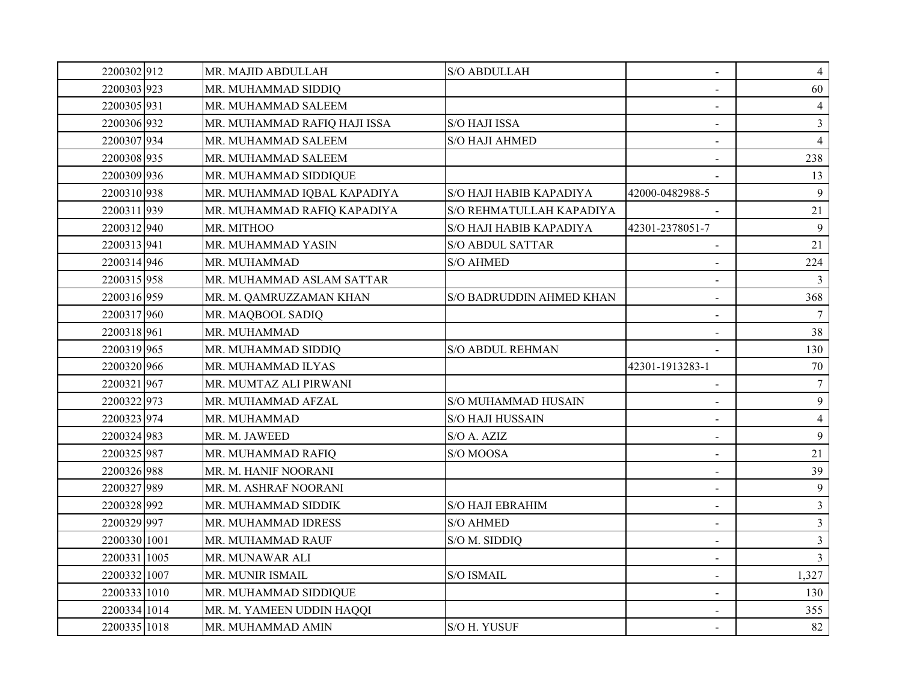| 2200302912   | MR. MAJID ABDULLAH           | S/O ABDULLAH             | $\blacksquare$  | $\overline{4}$ |
|--------------|------------------------------|--------------------------|-----------------|----------------|
| 2200303 923  | MR. MUHAMMAD SIDDIQ          |                          |                 | 60             |
| 2200305 931  | MR. MUHAMMAD SALEEM          |                          |                 | $\overline{4}$ |
| 2200306 932  | MR. MUHAMMAD RAFIQ HAJI ISSA | S/O HAJI ISSA            |                 | $\overline{3}$ |
| 2200307 934  | MR. MUHAMMAD SALEEM          | <b>S/O HAJI AHMED</b>    | $\blacksquare$  | $\overline{4}$ |
| 2200308 935  | MR. MUHAMMAD SALEEM          |                          |                 | 238            |
| 2200309 936  | MR. MUHAMMAD SIDDIQUE        |                          |                 | 13             |
| 2200310 938  | MR. MUHAMMAD IQBAL KAPADIYA  | S/O HAJI HABIB KAPADIYA  | 42000-0482988-5 | 9              |
| 2200311939   | MR. MUHAMMAD RAFIQ KAPADIYA  | S/O REHMATULLAH KAPADIYA |                 | 21             |
| 2200312 940  | MR. MITHOO                   | S/O HAJI HABIB KAPADIYA  | 42301-2378051-7 | 9              |
| 2200313 941  | MR. MUHAMMAD YASIN           | <b>S/O ABDUL SATTAR</b>  |                 | 21             |
| 2200314 946  | MR. MUHAMMAD                 | <b>S/O AHMED</b>         |                 | 224            |
| 2200315 958  | MR. MUHAMMAD ASLAM SATTAR    |                          | $\sim$          | 3              |
| 2200316 959  | MR. M. QAMRUZZAMAN KHAN      | S/O BADRUDDIN AHMED KHAN | $\blacksquare$  | 368            |
| 2200317 960  | MR. MAQBOOL SADIQ            |                          | $\blacksquare$  |                |
| 2200318 961  | MR. MUHAMMAD                 |                          |                 | 38             |
| 2200319 965  | MR. MUHAMMAD SIDDIQ          | <b>S/O ABDUL REHMAN</b>  |                 | 130            |
| 2200320 966  | MR. MUHAMMAD ILYAS           |                          | 42301-1913283-1 | 70             |
| 2200321967   | MR. MUMTAZ ALI PIRWANI       |                          |                 | $\tau$         |
| 2200322 973  | MR. MUHAMMAD AFZAL           | S/O MUHAMMAD HUSAIN      | $\blacksquare$  | 9              |
| 2200323 974  | MR. MUHAMMAD                 | <b>S/O HAJI HUSSAIN</b>  |                 | $\overline{4}$ |
| 2200324 983  | MR. M. JAWEED                | S/O A. AZIZ              | $\sim$          | 9              |
| 2200325 987  | MR. MUHAMMAD RAFIQ           | S/O MOOSA                |                 | 21             |
| 2200326 988  | MR. M. HANIF NOORANI         |                          | $\blacksquare$  | 39             |
| 2200327 989  | MR. M. ASHRAF NOORANI        |                          | $\blacksquare$  | 9              |
| 2200328 992  | MR. MUHAMMAD SIDDIK          | <b>S/O HAJI EBRAHIM</b>  | $\sim$          | $\mathfrak{Z}$ |
| 2200329 997  | MR. MUHAMMAD IDRESS          | <b>S/O AHMED</b>         | $\blacksquare$  | $\overline{3}$ |
| 2200330 1001 | MR. MUHAMMAD RAUF            | S/O M. SIDDIQ            | $\blacksquare$  | $\mathfrak{Z}$ |
| 2200331 1005 | MR. MUNAWAR ALI              |                          |                 | $\mathfrak{Z}$ |
| 2200332 1007 | MR. MUNIR ISMAIL             | S/O ISMAIL               | $\blacksquare$  | 1,327          |
| 2200333 1010 | MR. MUHAMMAD SIDDIQUE        |                          | $\blacksquare$  | 130            |
| 2200334 1014 | MR. M. YAMEEN UDDIN HAQQI    |                          |                 | 355            |
| 2200335 1018 | MR. MUHAMMAD AMIN            | S/O H. YUSUF             |                 | 82             |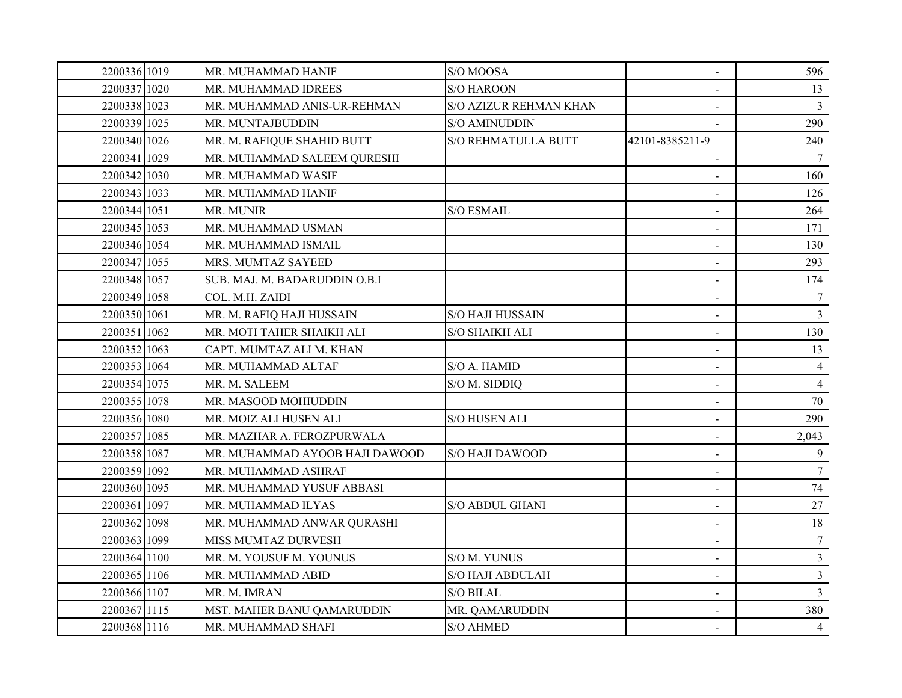| 2200336 1019 | MR. MUHAMMAD HANIF             | S/O MOOSA                  | $\blacksquare$           | 596              |
|--------------|--------------------------------|----------------------------|--------------------------|------------------|
| 2200337 1020 | <b>MR. MUHAMMAD IDREES</b>     | <b>S/O HAROON</b>          |                          | 13               |
| 2200338 1023 | MR. MUHAMMAD ANIS-UR-REHMAN    | S/O AZIZUR REHMAN KHAN     |                          | $\overline{3}$   |
| 2200339 1025 | MR. MUNTAJBUDDIN               | S/O AMINUDDIN              |                          | 290              |
| 2200340 1026 | MR. M. RAFIQUE SHAHID BUTT     | <b>S/O REHMATULLA BUTT</b> | 42101-8385211-9          | 240              |
| 2200341 1029 | MR. MUHAMMAD SALEEM QURESHI    |                            |                          | $\tau$           |
| 2200342 1030 | MR. MUHAMMAD WASIF             |                            |                          | 160              |
| 2200343 1033 | MR. MUHAMMAD HANIF             |                            |                          | 126              |
| 2200344 1051 | MR. MUNIR                      | <b>S/O ESMAIL</b>          | $\blacksquare$           | 264              |
| 2200345 1053 | MR. MUHAMMAD USMAN             |                            |                          | 171              |
| 2200346 1054 | MR. MUHAMMAD ISMAIL            |                            | $\sim$                   | 130              |
| 2200347 1055 | MRS. MUMTAZ SAYEED             |                            |                          | 293              |
| 2200348 1057 | SUB. MAJ. M. BADARUDDIN O.B.I  |                            | $\sim$                   | 174              |
| 2200349 1058 | COL. M.H. ZAIDI                |                            | $\blacksquare$           | $\tau$           |
| 2200350 1061 | MR. M. RAFIQ HAJI HUSSAIN      | <b>S/O HAJI HUSSAIN</b>    | $\sim$                   | $\mathfrak{Z}$   |
| 2200351 1062 | MR. MOTI TAHER SHAIKH ALI      | S/O SHAIKH ALI             | $\blacksquare$           | 130              |
| 2200352 1063 | CAPT. MUMTAZ ALI M. KHAN       |                            |                          | 13               |
| 2200353 1064 | MR. MUHAMMAD ALTAF             | S/O A. HAMID               | $\blacksquare$           | $\overline{4}$   |
| 2200354 1075 | MR. M. SALEEM                  | S/O M. SIDDIQ              |                          | $\overline{4}$   |
| 2200355 1078 | MR. MASOOD MOHIUDDIN           |                            | $\blacksquare$           | 70               |
| 2200356 1080 | MR. MOIZ ALI HUSEN ALI         | <b>S/O HUSEN ALI</b>       |                          | 290              |
| 2200357 1085 | MR. MAZHAR A. FEROZPURWALA     |                            |                          | 2,043            |
| 2200358 1087 | MR. MUHAMMAD AYOOB HAJI DAWOOD | <b>S/O HAJI DAWOOD</b>     |                          | 9                |
| 2200359 1092 | MR. MUHAMMAD ASHRAF            |                            | $\overline{\phantom{a}}$ | $\tau$           |
| 2200360 1095 | MR. MUHAMMAD YUSUF ABBASI      |                            |                          | $74\,$           |
| 2200361 1097 | MR. MUHAMMAD ILYAS             | <b>S/O ABDUL GHANI</b>     | $\sim$                   | 27               |
| 2200362 1098 | MR. MUHAMMAD ANWAR QURASHI     |                            | $\blacksquare$           | $18\,$           |
| 2200363 1099 | <b>MISS MUMTAZ DURVESH</b>     |                            | $\blacksquare$           | $\boldsymbol{7}$ |
| 2200364 1100 | MR. M. YOUSUF M. YOUNUS        | S/O M. YUNUS               | $\blacksquare$           | $\mathfrak{Z}$   |
| 2200365 1106 | MR. MUHAMMAD ABID              | <b>S/O HAJI ABDULAH</b>    |                          | $\overline{3}$   |
| 2200366 1107 | MR. M. IMRAN                   | <b>S/O BILAL</b>           | $\blacksquare$           | $\mathfrak{Z}$   |
| 2200367 1115 | MST. MAHER BANU QAMARUDDIN     | MR. QAMARUDDIN             |                          | 380              |
| 2200368 1116 | MR. MUHAMMAD SHAFI             | <b>S/O AHMED</b>           |                          | $\overline{4}$   |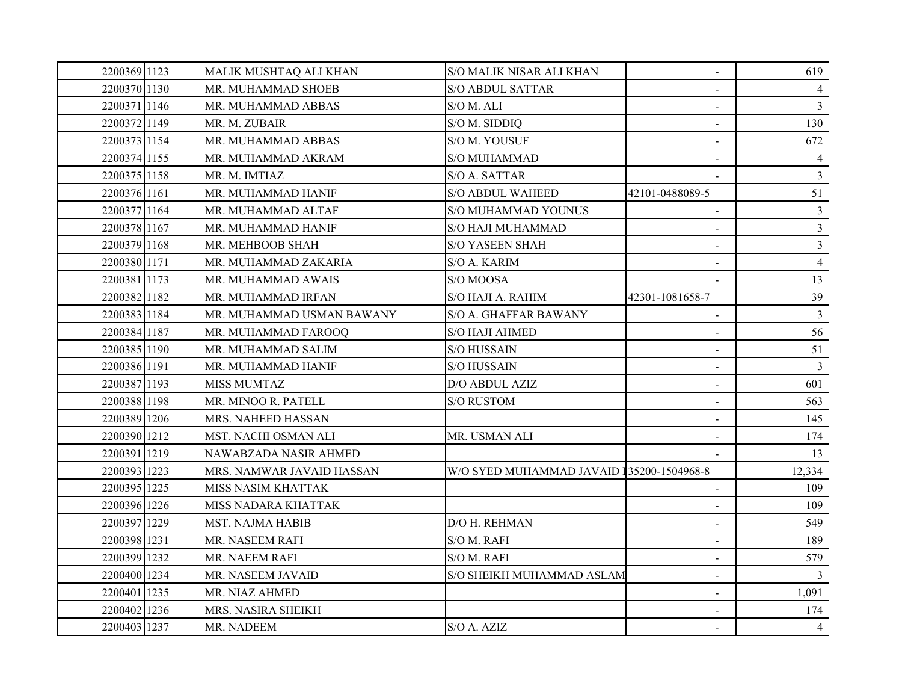| 2200369 1123 | MALIK MUSHTAQ ALI KHAN    | <b>S/O MALIK NISAR ALI KHAN</b>           | $\blacksquare$  | 619            |
|--------------|---------------------------|-------------------------------------------|-----------------|----------------|
| 2200370 1130 | MR. MUHAMMAD SHOEB        | <b>S/O ABDUL SATTAR</b>                   | $\sim$          |                |
| 2200371 1146 | MR. MUHAMMAD ABBAS        | S/O M. ALI                                |                 | $\overline{3}$ |
| 2200372 1149 | MR. M. ZUBAIR             | S/O M. SIDDIQ                             | $\blacksquare$  | 130            |
| 2200373 1154 | MR. MUHAMMAD ABBAS        | S/O M. YOUSUF                             | $\sim$          | 672            |
| 2200374 1155 | MR. MUHAMMAD AKRAM        | S/O MUHAMMAD                              |                 | 4              |
| 2200375 1158 | MR. M. IMTIAZ             | S/O A. SATTAR                             |                 | $\mathfrak{Z}$ |
| 2200376 1161 | MR. MUHAMMAD HANIF        | <b>S/O ABDUL WAHEED</b>                   | 42101-0488089-5 | 51             |
| 2200377 1164 | MR. MUHAMMAD ALTAF        | S/O MUHAMMAD YOUNUS                       | $\blacksquare$  | $\mathfrak{Z}$ |
| 2200378 1167 | MR. MUHAMMAD HANIF        | S/O HAJI MUHAMMAD                         |                 | $\mathfrak{Z}$ |
| 2200379 1168 | MR. MEHBOOB SHAH          | <b>S/O YASEEN SHAH</b>                    |                 | 3 <sup>1</sup> |
| 2200380 1171 | MR. MUHAMMAD ZAKARIA      | S/O A. KARIM                              |                 | $\overline{4}$ |
| 2200381 1173 | MR. MUHAMMAD AWAIS        | S/O MOOSA                                 |                 | 13             |
| 2200382 1182 | MR. MUHAMMAD IRFAN        | S/O HAJI A. RAHIM                         | 42301-1081658-7 | 39             |
| 2200383 1184 | MR. MUHAMMAD USMAN BAWANY | S/O A. GHAFFAR BAWANY                     |                 | $\overline{3}$ |
| 2200384 1187 | MR. MUHAMMAD FAROOQ       | S/O HAJI AHMED                            |                 | 56             |
| 2200385 1190 | MR. MUHAMMAD SALIM        | <b>S/O HUSSAIN</b>                        |                 | 51             |
| 2200386 1191 | MR. MUHAMMAD HANIF        | <b>S/O HUSSAIN</b>                        |                 | $\overline{3}$ |
| 2200387 1193 | <b>MISS MUMTAZ</b>        | D/O ABDUL AZIZ                            |                 | 601            |
| 2200388 1198 | MR. MINOO R. PATELL       | <b>S/O RUSTOM</b>                         | $\sim$          | 563            |
| 2200389 1206 | MRS. NAHEED HASSAN        |                                           |                 | 145            |
| 2200390 1212 | MST. NACHI OSMAN ALI      | MR. USMAN ALI                             |                 | 174            |
| 2200391 1219 | NAWABZADA NASIR AHMED     |                                           |                 | 13             |
| 2200393 1223 | MRS. NAMWAR JAVAID HASSAN | W/O SYED MUHAMMAD JAVAID 135200-1504968-8 |                 | 12,334         |
| 2200395 1225 | MISS NASIM KHATTAK        |                                           |                 | 109            |
| 2200396 1226 | MISS NADARA KHATTAK       |                                           |                 | 109            |
| 2200397 1229 | MST. NAJMA HABIB          | D/O H. REHMAN                             | $\blacksquare$  | 549            |
| 2200398 1231 | MR. NASEEM RAFI           | S/O M. RAFI                               | $\sim$          | 189            |
| 2200399 1232 | MR. NAEEM RAFI            | S/O M. RAFI                               | $\blacksquare$  | 579            |
| 2200400 1234 | MR. NASEEM JAVAID         | S/O SHEIKH MUHAMMAD ASLAM                 | $\blacksquare$  |                |
| 2200401 1235 | MR. NIAZ AHMED            |                                           | $\blacksquare$  | 1,091          |
| 2200402 1236 | MRS. NASIRA SHEIKH        |                                           |                 | 174            |
| 2200403 1237 | MR. NADEEM                | S/O A. AZIZ                               |                 | $\overline{4}$ |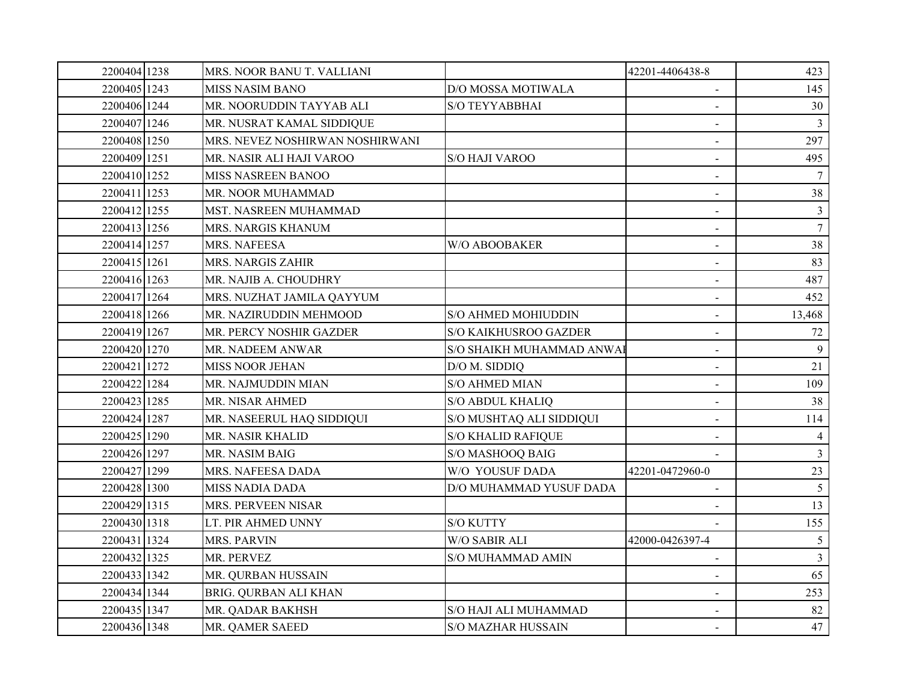| 2200404 1238 | MRS. NOOR BANU T. VALLIANI      |                           | 42201-4406438-8          | 423             |
|--------------|---------------------------------|---------------------------|--------------------------|-----------------|
| 2200405 1243 | <b>MISS NASIM BANO</b>          | D/O MOSSA MOTIWALA        | $\sim$                   | 145             |
| 2200406 1244 | MR. NOORUDDIN TAYYAB ALI        | S/O TEYYABBHAI            |                          | 30              |
| 2200407 1246 | MR. NUSRAT KAMAL SIDDIQUE       |                           | $\sim$                   | 3               |
| 2200408 1250 | MRS. NEVEZ NOSHIRWAN NOSHIRWANI |                           | $\overline{\phantom{a}}$ | 297             |
| 2200409 1251 | MR. NASIR ALI HAJI VAROO        | S/O HAJI VAROO            | $\blacksquare$           | 495             |
| 2200410 1252 | MISS NASREEN BANOO              |                           | $\sim$                   |                 |
| 2200411 1253 | MR. NOOR MUHAMMAD               |                           |                          | 38              |
| 2200412 1255 | MST. NASREEN MUHAMMAD           |                           | $\blacksquare$           | $\mathbf{3}$    |
| 2200413 1256 | <b>MRS. NARGIS KHANUM</b>       |                           |                          | $\overline{7}$  |
| 2200414 1257 | MRS. NAFEESA                    | W/O ABOOBAKER             | $\sim$                   | 38              |
| 2200415 1261 | MRS. NARGIS ZAHIR               |                           | $\blacksquare$           | 83              |
| 2200416 1263 | MR. NAJIB A. CHOUDHRY           |                           | $\sim$                   | 487             |
| 2200417 1264 | MRS. NUZHAT JAMILA QAYYUM       |                           | $\blacksquare$           | 452             |
| 2200418 1266 | MR. NAZIRUDDIN MEHMOOD          | S/O AHMED MOHIUDDIN       | $\sim$                   | 13,468          |
| 2200419 1267 | MR. PERCY NOSHIR GAZDER         | S/O KAIKHUSROO GAZDER     | $\blacksquare$           | 72              |
| 2200420 1270 | MR. NADEEM ANWAR                | S/O SHAIKH MUHAMMAD ANWAl |                          | 9               |
| 2200421 1272 | <b>MISS NOOR JEHAN</b>          | D/O M. SIDDIQ             | $\sim$                   | 21              |
| 2200422 1284 | MR. NAJMUDDIN MIAN              | <b>S/O AHMED MIAN</b>     |                          | 109             |
| 2200423 1285 | MR. NISAR AHMED                 | <b>S/O ABDUL KHALIQ</b>   | $\blacksquare$           | 38              |
| 2200424 1287 | MR. NASEERUL HAQ SIDDIQUI       | S/O MUSHTAQ ALI SIDDIQUI  |                          | 114             |
| 2200425 1290 | MR. NASIR KHALID                | <b>S/O KHALID RAFIQUE</b> |                          |                 |
| 2200426 1297 | MR. NASIM BAIG                  | S/O MASHOOQ BAIG          |                          | $\mathfrak{Z}$  |
| 2200427 1299 | MRS. NAFEESA DADA               | W/O YOUSUF DADA           | 42201-0472960-0          | 23              |
| 2200428 1300 | <b>MISS NADIA DADA</b>          | D/O MUHAMMAD YUSUF DADA   |                          | $5\overline{)}$ |
| 2200429 1315 | MRS. PERVEEN NISAR              |                           |                          | 13              |
| 2200430 1318 | LT. PIR AHMED UNNY              | <b>S/O KUTTY</b>          |                          | 155             |
| 2200431 1324 | <b>MRS. PARVIN</b>              | <b>W/O SABIR ALI</b>      | 42000-0426397-4          | $5\overline{)}$ |
| 2200432 1325 | MR. PERVEZ                      | S/O MUHAMMAD AMIN         |                          | $\mathfrak{Z}$  |
| 2200433 1342 | MR. QURBAN HUSSAIN              |                           |                          | 65              |
| 2200434 1344 | BRIG. QURBAN ALI KHAN           |                           | $\blacksquare$           | 253             |
| 2200435 1347 | MR. QADAR BAKHSH                | S/O HAJI ALI MUHAMMAD     |                          | 82              |
| 2200436 1348 | MR. QAMER SAEED                 | <b>S/O MAZHAR HUSSAIN</b> |                          | 47              |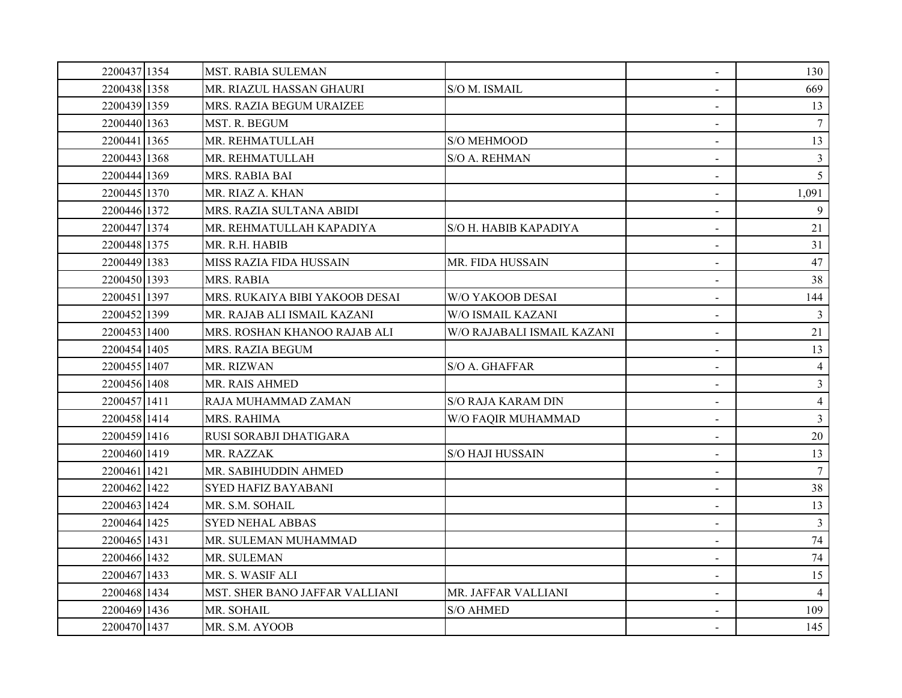| 2200437 1354 | <b>MST. RABIA SULEMAN</b>      |                            | $\blacksquare$           | 130            |
|--------------|--------------------------------|----------------------------|--------------------------|----------------|
| 2200438 1358 | MR. RIAZUL HASSAN GHAURI       | S/O M. ISMAIL              |                          | 669            |
| 2200439 1359 | MRS. RAZIA BEGUM URAIZEE       |                            |                          | 13             |
| 2200440 1363 | MST. R. BEGUM                  |                            |                          | 7              |
| 2200441 1365 | MR. REHMATULLAH                | S/O MEHMOOD                | $\blacksquare$           | 13             |
| 2200443 1368 | MR. REHMATULLAH                | S/O A. REHMAN              | $\blacksquare$           | $\mathfrak{Z}$ |
| 2200444 1369 | MRS. RABIA BAI                 |                            | $\sim$                   | 5 <sup>5</sup> |
| 2200445 1370 | MR. RIAZ A. KHAN               |                            |                          | 1,091          |
| 2200446 1372 | MRS. RAZIA SULTANA ABIDI       |                            | $\blacksquare$           | 9              |
| 2200447 1374 | MR. REHMATULLAH KAPADIYA       | S/O H. HABIB KAPADIYA      | $\sim$                   | 21             |
| 2200448 1375 | MR. R.H. HABIB                 |                            | $\blacksquare$           | 31             |
| 2200449 1383 | MISS RAZIA FIDA HUSSAIN        | MR. FIDA HUSSAIN           | $\blacksquare$           | 47             |
| 2200450 1393 | MRS. RABIA                     |                            | $\blacksquare$           | 38             |
| 2200451 1397 | MRS. RUKAIYA BIBI YAKOOB DESAI | W/O YAKOOB DESAI           |                          | 144            |
| 2200452 1399 | MR. RAJAB ALI ISMAIL KAZANI    | W/O ISMAIL KAZANI          | $\sim$                   | $\mathfrak{Z}$ |
| 2200453 1400 | MRS. ROSHAN KHANOO RAJAB ALI   | W/O RAJABALI ISMAIL KAZANI | $\sim$                   | 21             |
| 2200454 1405 | MRS. RAZIA BEGUM               |                            |                          | 13             |
| 2200455 1407 | MR. RIZWAN                     | S/O A. GHAFFAR             | $\blacksquare$           | $\overline{4}$ |
| 2200456 1408 | MR. RAIS AHMED                 |                            |                          | $\overline{3}$ |
| 2200457 1411 | RAJA MUHAMMAD ZAMAN            | <b>S/O RAJA KARAM DIN</b>  | $\blacksquare$           | $\overline{4}$ |
| 2200458 1414 | MRS. RAHIMA                    | W/O FAQIR MUHAMMAD         | $\blacksquare$           | $\mathfrak{Z}$ |
| 2200459 1416 | RUSI SORABJI DHATIGARA         |                            | $\sim$                   | 20             |
| 2200460 1419 | MR. RAZZAK                     | <b>S/O HAJI HUSSAIN</b>    |                          | 13             |
| 2200461 1421 | MR. SABIHUDDIN AHMED           |                            | $\overline{\phantom{a}}$ | 7              |
| 2200462 1422 | <b>SYED HAFIZ BAYABANI</b>     |                            | $\blacksquare$           | 38             |
| 2200463 1424 | MR. S.M. SOHAIL                |                            | $\sim$                   | 13             |
| 2200464 1425 | <b>SYED NEHAL ABBAS</b>        |                            | $\blacksquare$           | $\mathfrak{Z}$ |
| 2200465 1431 | MR. SULEMAN MUHAMMAD           |                            | $\blacksquare$           | 74             |
| 2200466 1432 | MR. SULEMAN                    |                            |                          | 74             |
| 2200467 1433 | MR. S. WASIF ALI               |                            | $\blacksquare$           | 15             |
| 2200468 1434 | MST. SHER BANO JAFFAR VALLIANI | MR. JAFFAR VALLIANI        | $\blacksquare$           | $\overline{4}$ |
| 2200469 1436 | MR. SOHAIL                     | <b>S/O AHMED</b>           |                          | 109            |
| 2200470 1437 | MR. S.M. AYOOB                 |                            |                          | 145            |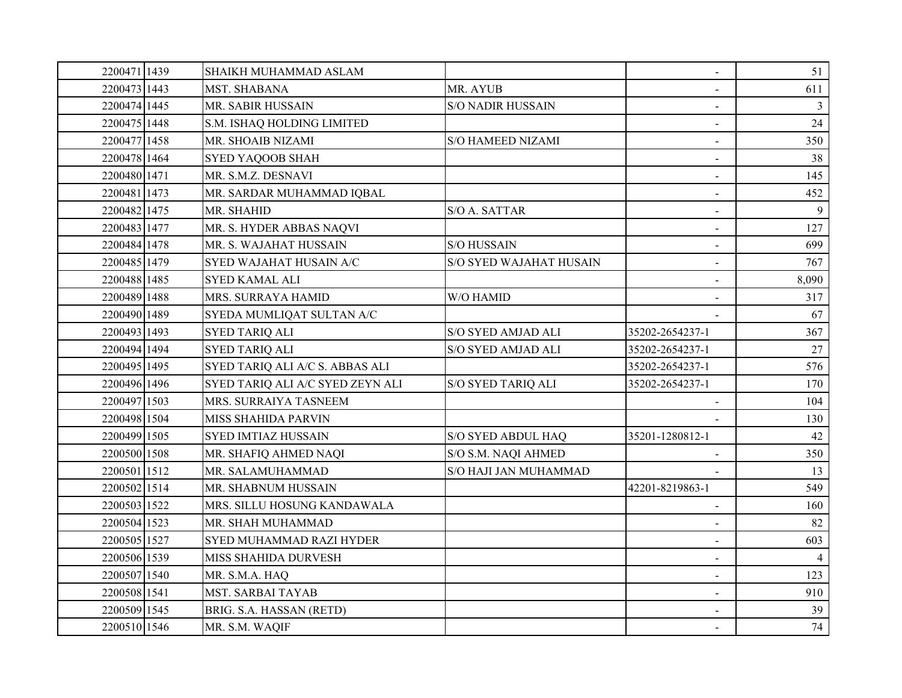| 2200471 1439 | SHAIKH MUHAMMAD ASLAM            |                           | $\blacksquare$           | 51             |
|--------------|----------------------------------|---------------------------|--------------------------|----------------|
| 2200473 1443 | MST. SHABANA                     | MR. AYUB                  |                          | 611            |
| 2200474 1445 | MR. SABIR HUSSAIN                | <b>S/O NADIR HUSSAIN</b>  |                          | 3              |
| 2200475 1448 | S.M. ISHAQ HOLDING LIMITED       |                           |                          | 24             |
| 2200477 1458 | MR. SHOAIB NIZAMI                | <b>S/O HAMEED NIZAMI</b>  | $\overline{\phantom{a}}$ | 350            |
| 2200478 1464 | <b>SYED YAQOOB SHAH</b>          |                           | $\sim$                   | 38             |
| 2200480 1471 | MR. S.M.Z. DESNAVI               |                           | $\blacksquare$           | 145            |
| 2200481 1473 | MR. SARDAR MUHAMMAD IQBAL        |                           | $\blacksquare$           | 452            |
| 2200482 1475 | MR. SHAHID                       | S/O A. SATTAR             | $\blacksquare$           | 9              |
| 2200483 1477 | MR. S. HYDER ABBAS NAQVI         |                           | $\blacksquare$           | 127            |
| 2200484 1478 | MR. S. WAJAHAT HUSSAIN           | <b>S/O HUSSAIN</b>        | $\blacksquare$           | 699            |
| 2200485 1479 | SYED WAJAHAT HUSAIN A/C          | S/O SYED WAJAHAT HUSAIN   | $\sim$                   | 767            |
| 2200488 1485 | <b>SYED KAMAL ALI</b>            |                           |                          | 8,090          |
| 2200489 1488 | MRS. SURRAYA HAMID               | W/O HAMID                 |                          | 317            |
| 2200490 1489 | SYEDA MUMLIQAT SULTAN A/C        |                           |                          | 67             |
| 2200493 1493 | <b>SYED TARIQ ALI</b>            | S/O SYED AMJAD ALI        | 35202-2654237-1          | 367            |
| 2200494 1494 | <b>SYED TARIQ ALI</b>            | <b>S/O SYED AMJAD ALI</b> | 35202-2654237-1          | 27             |
| 2200495 1495 | SYED TARIQ ALI A/C S. ABBAS ALI  |                           | 35202-2654237-1          | 576            |
| 2200496 1496 | SYED TARIQ ALI A/C SYED ZEYN ALI | S/O SYED TARIQ ALI        | 35202-2654237-1          | 170            |
| 2200497 1503 | MRS. SURRAIYA TASNEEM            |                           |                          | 104            |
| 2200498 1504 | <b>MISS SHAHIDA PARVIN</b>       |                           |                          | 130            |
| 2200499 1505 | <b>SYED IMTIAZ HUSSAIN</b>       | S/O SYED ABDUL HAQ        | 35201-1280812-1          | 42             |
| 2200500 1508 | MR. SHAFIQ AHMED NAQI            | S/O S.M. NAQI AHMED       |                          | 350            |
| 2200501 1512 | MR. SALAMUHAMMAD                 | S/O HAJI JAN MUHAMMAD     |                          | 13             |
| 2200502 1514 | MR. SHABNUM HUSSAIN              |                           | 42201-8219863-1          | 549            |
| 2200503 1522 | MRS. SILLU HOSUNG KANDAWALA      |                           |                          | 160            |
| 2200504 1523 | MR. SHAH MUHAMMAD                |                           | $\blacksquare$           | 82             |
| 2200505 1527 | <b>SYED MUHAMMAD RAZI HYDER</b>  |                           |                          | 603            |
| 2200506 1539 | MISS SHAHIDA DURVESH             |                           | $\blacksquare$           | $\overline{4}$ |
| 2200507 1540 | MR. S.M.A. HAQ                   |                           |                          | 123            |
| 2200508 1541 | <b>MST. SARBAI TAYAB</b>         |                           | $\sim$                   | 910            |
| 2200509 1545 | BRIG. S.A. HASSAN (RETD)         |                           |                          | 39             |
| 2200510 1546 | MR. S.M. WAQIF                   |                           | $\sim$                   | 74             |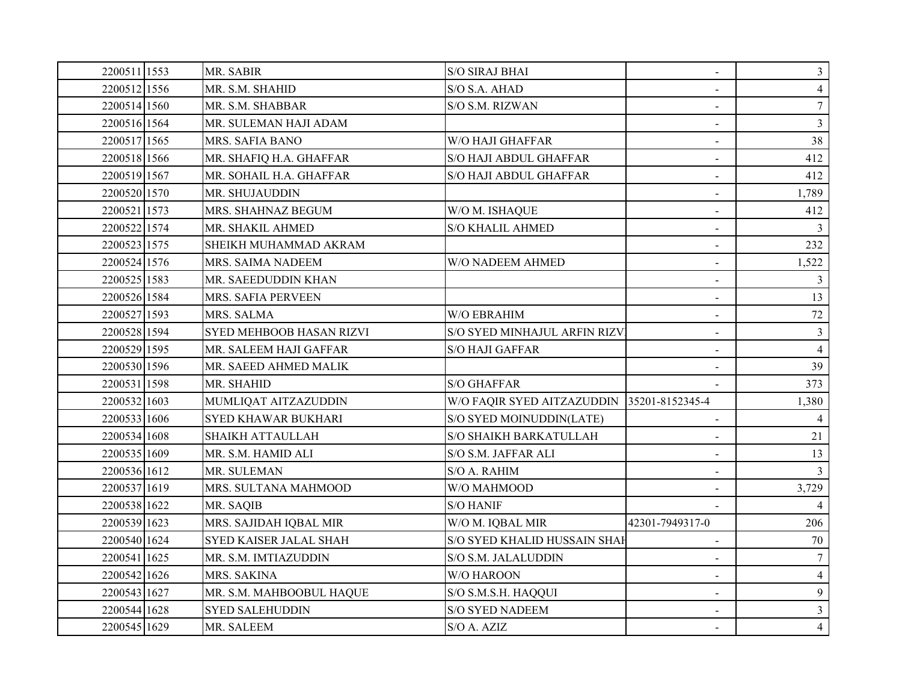| 2200511 1553 | MR. SABIR                       | <b>S/O SIRAJ BHAI</b>                      | $\blacksquare$  | $\mathfrak{Z}$ |
|--------------|---------------------------------|--------------------------------------------|-----------------|----------------|
| 2200512 1556 | MR. S.M. SHAHID                 | S/O S.A. AHAD                              |                 | $\overline{4}$ |
| 2200514 1560 | MR. S.M. SHABBAR                | S/O S.M. RIZWAN                            |                 | $\overline{7}$ |
| 2200516 1564 | MR. SULEMAN HAJI ADAM           |                                            |                 | $\mathfrak{Z}$ |
| 2200517 1565 | MRS. SAFIA BANO                 | W/O HAJI GHAFFAR                           | $\blacksquare$  | 38             |
| 2200518 1566 | MR. SHAFIQ H.A. GHAFFAR         | S/O HAJI ABDUL GHAFFAR                     | $\blacksquare$  | 412            |
| 2200519 1567 | MR. SOHAIL H.A. GHAFFAR         | S/O HAJI ABDUL GHAFFAR                     |                 | 412            |
| 2200520 1570 | MR. SHUJAUDDIN                  |                                            |                 | 1,789          |
| 2200521 1573 | MRS. SHAHNAZ BEGUM              | W/O M. ISHAQUE                             | $\blacksquare$  | 412            |
| 2200522 1574 | MR. SHAKIL AHMED                | <b>S/O KHALIL AHMED</b>                    |                 | $\mathfrak{Z}$ |
| 2200523 1575 | SHEIKH MUHAMMAD AKRAM           |                                            | $\overline{a}$  | 232            |
| 2200524 1576 | MRS. SAIMA NADEEM               | W/O NADEEM AHMED                           | $\blacksquare$  | 1,522          |
| 2200525 1583 | MR. SAEEDUDDIN KHAN             |                                            | $\blacksquare$  | 3              |
| 2200526 1584 | <b>MRS. SAFIA PERVEEN</b>       |                                            |                 | 13             |
| 2200527 1593 | MRS. SALMA                      | W/O EBRAHIM                                | $\sim$          | 72             |
| 2200528 1594 | <b>SYED MEHBOOB HASAN RIZVI</b> | S/O SYED MINHAJUL ARFIN RIZV               | $\sim$          | $\mathbf{3}$   |
| 2200529 1595 | MR. SALEEM HAJI GAFFAR          | <b>S/O HAJI GAFFAR</b>                     |                 | $\overline{4}$ |
| 2200530 1596 | MR. SAEED AHMED MALIK           |                                            |                 | 39             |
| 2200531 1598 | MR. SHAHID                      | S/O GHAFFAR                                |                 | 373            |
| 2200532 1603 | MUMLIQAT AITZAZUDDIN            | W/O FAQIR SYED AITZAZUDDIN 35201-8152345-4 |                 | 1,380          |
| 2200533 1606 | <b>SYED KHAWAR BUKHARI</b>      | S/O SYED MOINUDDIN(LATE)                   |                 | $\overline{4}$ |
| 2200534 1608 | <b>SHAIKH ATTAULLAH</b>         | S/O SHAIKH BARKATULLAH                     |                 | 21             |
| 2200535 1609 | MR. S.M. HAMID ALI              | S/O S.M. JAFFAR ALI                        |                 | 13             |
| 2200536 1612 | MR. SULEMAN                     | S/O A. RAHIM                               | $\blacksquare$  | 3              |
| 2200537 1619 | MRS. SULTANA MAHMOOD            | W/O MAHMOOD                                |                 | 3,729          |
| 2200538 1622 | MR. SAQIB                       | <b>S/O HANIF</b>                           |                 | $\overline{4}$ |
| 2200539 1623 | MRS. SAJIDAH IQBAL MIR          | W/O M. IQBAL MIR                           | 42301-7949317-0 | 206            |
| 2200540 1624 | SYED KAISER JALAL SHAH          | S/O SYED KHALID HUSSAIN SHAF               | $\sim$          | 70             |
| 2200541 1625 | MR. S.M. IMTIAZUDDIN            | S/O S.M. JALALUDDIN                        |                 | $\tau$         |
| 2200542 1626 | MRS. SAKINA                     | W/O HAROON                                 |                 | $\overline{4}$ |
| 2200543 1627 | MR. S.M. MAHBOOBUL HAQUE        | S/O S.M.S.H. HAQQUI                        | $\blacksquare$  | 9              |
| 2200544 1628 | <b>SYED SALEHUDDIN</b>          | <b>S/O SYED NADEEM</b>                     |                 | $\mathfrak{Z}$ |
| 2200545 1629 | MR. SALEEM                      | S/O A. AZIZ                                |                 | $\overline{4}$ |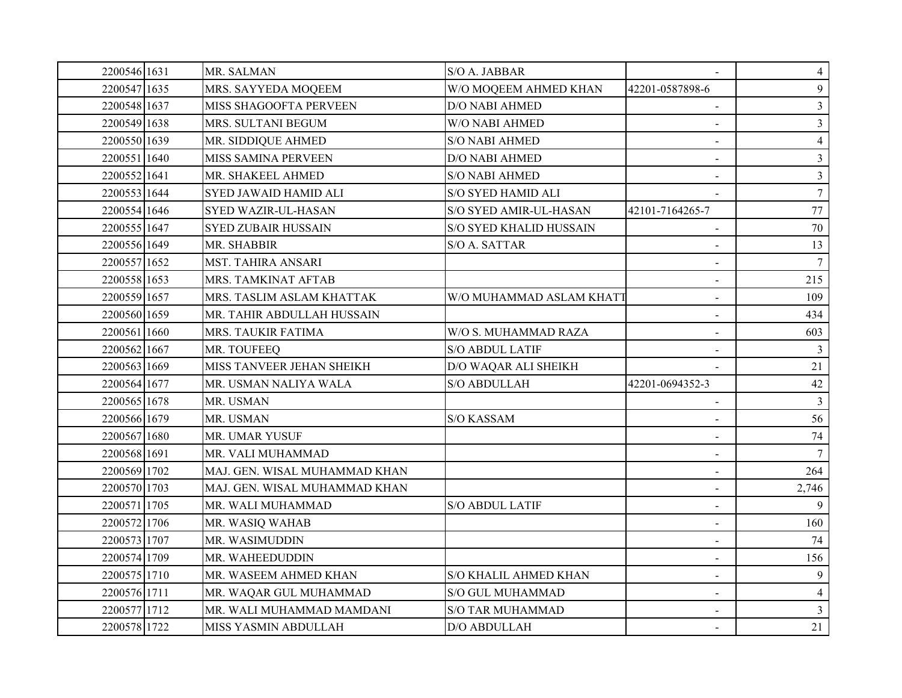| 2200546 1631 | MR. SALMAN                    | S/O A. JABBAR            |                          | $\overline{4}$  |
|--------------|-------------------------------|--------------------------|--------------------------|-----------------|
| 2200547 1635 | MRS. SAYYEDA MOQEEM           | W/O MOQEEM AHMED KHAN    | 42201-0587898-6          | 9               |
| 2200548 1637 | MISS SHAGOOFTA PERVEEN        | <b>D/O NABI AHMED</b>    |                          | $\mathbf{3}$    |
| 2200549 1638 | MRS. SULTANI BEGUM            | W/O NABI AHMED           |                          | $\mathfrak{Z}$  |
| 2200550 1639 | MR. SIDDIQUE AHMED            | <b>S/O NABI AHMED</b>    | $\blacksquare$           | $\overline{4}$  |
| 2200551 1640 | MISS SAMINA PERVEEN           | D/O NABI AHMED           |                          | $\overline{3}$  |
| 2200552 1641 | MR. SHAKEEL AHMED             | <b>S/O NABI AHMED</b>    |                          | $\overline{3}$  |
| 2200553 1644 | SYED JAWAID HAMID ALI         | S/O SYED HAMID ALI       |                          | $7\overline{ }$ |
| 2200554 1646 | <b>SYED WAZIR-UL-HASAN</b>    | S/O SYED AMIR-UL-HASAN   | 42101-7164265-7          | 77              |
| 2200555 1647 | <b>SYED ZUBAIR HUSSAIN</b>    | S/O SYED KHALID HUSSAIN  |                          | 70              |
| 2200556 1649 | MR. SHABBIR                   | S/O A. SATTAR            | $\sim$                   | 13              |
| 2200557 1652 | MST. TAHIRA ANSARI            |                          | $\blacksquare$           | $7\overline{ }$ |
| 2200558 1653 | MRS. TAMKINAT AFTAB           |                          | $\blacksquare$           | 215             |
| 2200559 1657 | MRS. TASLIM ASLAM KHATTAK     | W/O MUHAMMAD ASLAM KHATT |                          | 109             |
| 2200560 1659 | MR. TAHIR ABDULLAH HUSSAIN    |                          |                          | 434             |
| 2200561 1660 | MRS. TAUKIR FATIMA            | W/O S. MUHAMMAD RAZA     | $\blacksquare$           | 603             |
| 2200562 1667 | MR. TOUFEEQ                   | <b>S/O ABDUL LATIF</b>   |                          | $\mathfrak{Z}$  |
| 2200563 1669 | MISS TANVEER JEHAN SHEIKH     | D/O WAQAR ALI SHEIKH     |                          | 21              |
| 2200564 1677 | MR. USMAN NALIYA WALA         | S/O ABDULLAH             | 42201-0694352-3          | 42              |
| 2200565 1678 | MR. USMAN                     |                          | $\blacksquare$           | $\mathfrak{Z}$  |
| 2200566 1679 | MR. USMAN                     | <b>S/O KASSAM</b>        |                          | 56              |
| 2200567 1680 | MR. UMAR YUSUF                |                          |                          | 74              |
| 2200568 1691 | MR. VALI MUHAMMAD             |                          |                          | $7\overline{ }$ |
| 2200569 1702 | MAJ. GEN. WISAL MUHAMMAD KHAN |                          | $\sim$                   | 264             |
| 2200570 1703 | MAJ. GEN. WISAL MUHAMMAD KHAN |                          |                          | 2,746           |
| 2200571 1705 | MR. WALI MUHAMMAD             | <b>S/O ABDUL LATIF</b>   | $\sim$                   | 9               |
| 2200572 1706 | MR. WASIQ WAHAB               |                          | $\blacksquare$           | 160             |
| 2200573 1707 | MR. WASIMUDDIN                |                          | $\overline{\phantom{0}}$ | 74              |
| 2200574 1709 | MR. WAHEEDUDDIN               |                          |                          | 156             |
| 2200575 1710 | MR. WASEEM AHMED KHAN         | S/O KHALIL AHMED KHAN    |                          | 9               |
| 2200576 1711 | MR. WAQAR GUL MUHAMMAD        | S/O GUL MUHAMMAD         | $\blacksquare$           | $\overline{4}$  |
| 2200577 1712 | MR. WALI MUHAMMAD MAMDANI     | <b>S/O TAR MUHAMMAD</b>  |                          | $\mathfrak{Z}$  |
| 2200578 1722 | MISS YASMIN ABDULLAH          | D/O ABDULLAH             |                          | 21              |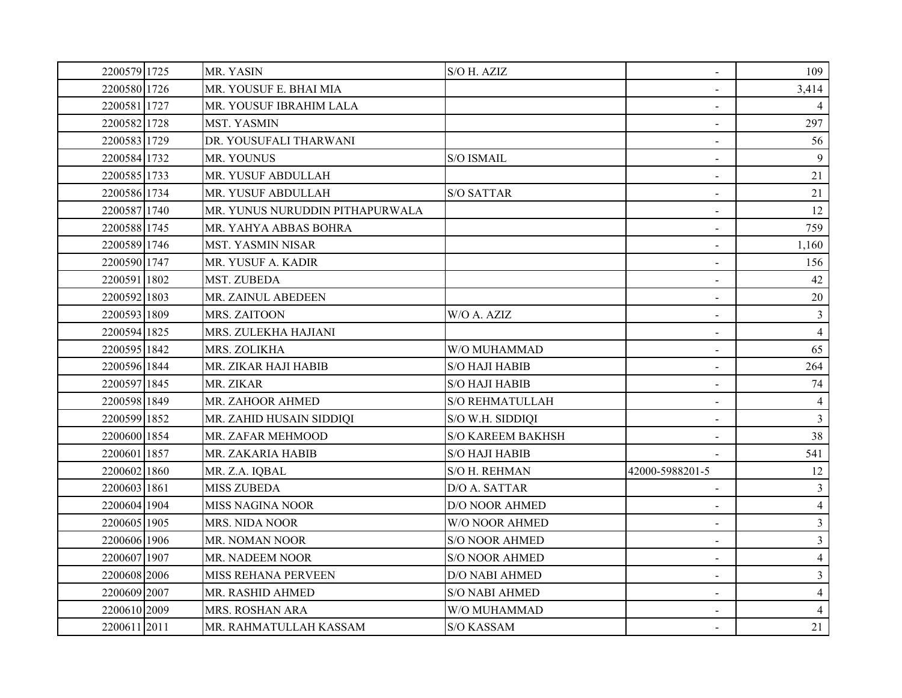| 2200579 1725 | MR. YASIN                       | S/O H. AZIZ              | $\blacksquare$  | 109            |
|--------------|---------------------------------|--------------------------|-----------------|----------------|
| 2200580 1726 | MR. YOUSUF E. BHAI MIA          |                          | $\sim$          | 3,414          |
| 2200581 1727 | MR. YOUSUF IBRAHIM LALA         |                          |                 |                |
| 2200582 1728 | <b>MST. YASMIN</b>              |                          | $\sim$          | 297            |
| 2200583 1729 | DR. YOUSUFALI THARWANI          |                          | $\sim$          | 56             |
| 2200584 1732 | MR. YOUNUS                      | S/O ISMAIL               | $\blacksquare$  | 9              |
| 2200585 1733 | MR. YUSUF ABDULLAH              |                          | $\blacksquare$  | 21             |
| 2200586 1734 | MR. YUSUF ABDULLAH              | <b>S/O SATTAR</b>        |                 | 21             |
| 2200587 1740 | MR. YUNUS NURUDDIN PITHAPURWALA |                          | $\blacksquare$  | 12             |
| 2200588 1745 | MR. YAHYA ABBAS BOHRA           |                          |                 | 759            |
| 2200589 1746 | <b>MST. YASMIN NISAR</b>        |                          | $\blacksquare$  | 1,160          |
| 2200590 1747 | MR. YUSUF A. KADIR              |                          | $\blacksquare$  | 156            |
| 2200591 1802 | MST. ZUBEDA                     |                          | $\sim$          | 42             |
| 2200592 1803 | MR. ZAINUL ABEDEEN              |                          | $\blacksquare$  | 20             |
| 2200593 1809 | MRS. ZAITOON                    | W/O A. AZIZ              | $\blacksquare$  | 3              |
| 2200594 1825 | MRS. ZULEKHA HAJIANI            |                          | $\blacksquare$  | $\overline{4}$ |
| 2200595 1842 | MRS. ZOLIKHA                    | W/O MUHAMMAD             |                 | 65             |
| 2200596 1844 | MR. ZIKAR HAJI HABIB            | <b>S/O HAJI HABIB</b>    |                 | 264            |
| 2200597 1845 | MR. ZIKAR                       | <b>S/O HAJI HABIB</b>    |                 | 74             |
| 2200598 1849 | MR. ZAHOOR AHMED                | <b>S/O REHMATULLAH</b>   | $\blacksquare$  | $\overline{4}$ |
| 2200599 1852 | MR. ZAHID HUSAIN SIDDIQI        | S/O W.H. SIDDIQI         |                 | $\mathfrak{Z}$ |
| 2200600 1854 | MR. ZAFAR MEHMOOD               | <b>S/O KAREEM BAKHSH</b> |                 | 38             |
| 2200601 1857 | MR. ZAKARIA HABIB               | <b>S/O HAJI HABIB</b>    |                 | 541            |
| 2200602 1860 | MR. Z.A. IQBAL                  | S/O H. REHMAN            | 42000-5988201-5 | 12             |
| 2200603 1861 | <b>MISS ZUBEDA</b>              | D/O A. SATTAR            |                 | $\overline{3}$ |
| 2200604 1904 | <b>MISS NAGINA NOOR</b>         | <b>D/O NOOR AHMED</b>    | $\blacksquare$  | $\overline{4}$ |
| 2200605 1905 | MRS. NIDA NOOR                  | W/O NOOR AHMED           | $\blacksquare$  | $\overline{3}$ |
| 2200606 1906 | MR. NOMAN NOOR                  | <b>S/O NOOR AHMED</b>    | $\blacksquare$  | $\overline{3}$ |
| 2200607 1907 | MR. NADEEM NOOR                 | <b>S/O NOOR AHMED</b>    |                 | $\overline{4}$ |
| 2200608 2006 | MISS REHANA PERVEEN             | <b>D/O NABI AHMED</b>    |                 | $\mathfrak{Z}$ |
| 2200609 2007 | MR. RASHID AHMED                | S/O NABI AHMED           | $\blacksquare$  | 4              |
| 2200610 2009 | MRS. ROSHAN ARA                 | W/O MUHAMMAD             |                 | $\overline{4}$ |
| 2200611 2011 | MR. RAHMATULLAH KASSAM          | <b>S/O KASSAM</b>        | $\sim$          | 21             |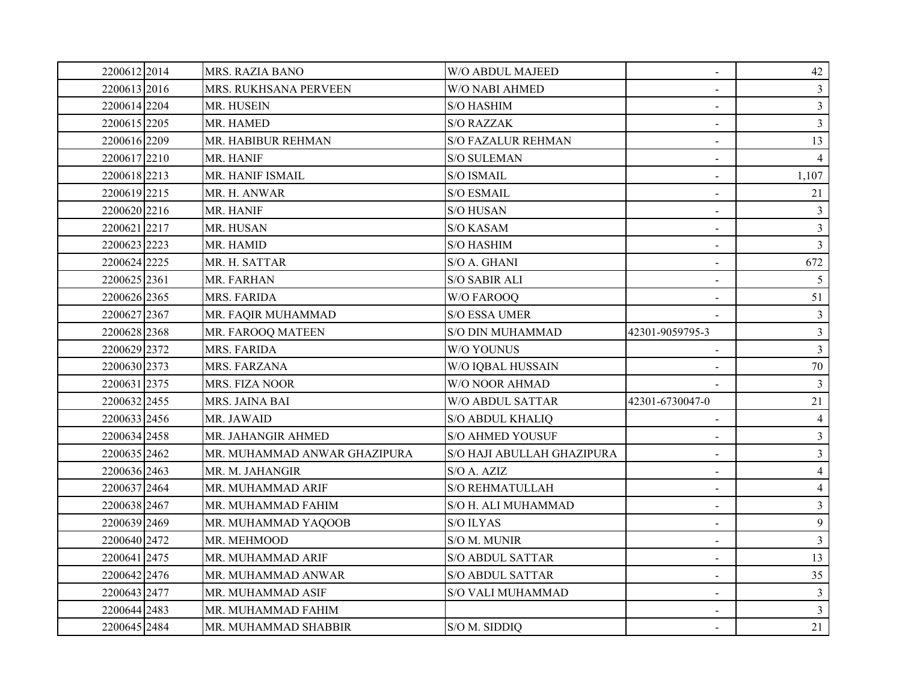| 2200612 2014 | <b>MRS. RAZIA BANO</b>       | W/O ABDUL MAJEED           | $\blacksquare$  | 42             |
|--------------|------------------------------|----------------------------|-----------------|----------------|
| 2200613 2016 | MRS. RUKHSANA PERVEEN        | W/O NABI AHMED             |                 | $\mathfrak{Z}$ |
| 2200614 2204 | MR. HUSEIN                   | <b>S/O HASHIM</b>          |                 | $\overline{3}$ |
| 2200615 2205 | MR. HAMED                    | <b>S/O RAZZAK</b>          |                 | 3 <sup>1</sup> |
| 2200616 2209 | MR. HABIBUR REHMAN           | <b>S/O FAZALUR REHMAN</b>  | $\blacksquare$  | 13             |
| 2200617 2210 | MR. HANIF                    | <b>S/O SULEMAN</b>         |                 | $\overline{4}$ |
| 2200618 2213 | MR. HANIF ISMAIL             | <b>S/O ISMAIL</b>          | $\blacksquare$  | 1,107          |
| 2200619 2215 | MR. H. ANWAR                 | <b>S/O ESMAIL</b>          |                 | 21             |
| 2200620 2216 | MR. HANIF                    | <b>S/O HUSAN</b>           | $\blacksquare$  | $\mathfrak{Z}$ |
| 2200621 2217 | MR. HUSAN                    | <b>S/O KASAM</b>           |                 | 3 <sup>1</sup> |
| 2200623 2223 | MR. HAMID                    | <b>S/O HASHIM</b>          | $\blacksquare$  | 3 <sup>1</sup> |
| 2200624 2225 | MR. H. SATTAR                | S/O A. GHANI               | $\blacksquare$  | 672            |
| 2200625 2361 | MR. FARHAN                   | <b>S/O SABIR ALI</b>       | $\sim$          | 5 <sup>5</sup> |
| 2200626 2365 | MRS. FARIDA                  | <b>W/O FAROOQ</b>          |                 | 51             |
| 2200627 2367 | MR. FAQIR MUHAMMAD           | S/O ESSA UMER              |                 | 3 <sup>7</sup> |
| 2200628 2368 | MR. FAROOQ MATEEN            | <b>S/O DIN MUHAMMAD</b>    | 42301-9059795-3 | $\mathfrak{Z}$ |
| 2200629 2372 | MRS. FARIDA                  | W/O YOUNUS                 |                 | 3 <sup>1</sup> |
| 2200630 2373 | MRS. FARZANA                 | W/O IQBAL HUSSAIN          |                 | 70             |
| 2200631 2375 | MRS. FIZA NOOR               | W/O NOOR AHMAD             |                 | $\mathfrak{Z}$ |
| 2200632 2455 | MRS. JAINA BAI               | <b>W/O ABDUL SATTAR</b>    | 42301-6730047-0 | 21             |
| 2200633 2456 | MR. JAWAID                   | <b>S/O ABDUL KHALIQ</b>    |                 | $\overline{4}$ |
| 2200634 2458 | MR. JAHANGIR AHMED           | <b>S/O AHMED YOUSUF</b>    |                 | $\overline{3}$ |
| 2200635 2462 | MR. MUHAMMAD ANWAR GHAZIPURA | S/O HAJI ABULLAH GHAZIPURA |                 | $\mathfrak{Z}$ |
| 2200636 2463 | MR. M. JAHANGIR              | S/O A. AZIZ                | $\sim$          | $\overline{4}$ |
| 2200637 2464 | MR. MUHAMMAD ARIF            | <b>S/O REHMATULLAH</b>     |                 | $\overline{4}$ |
| 2200638 2467 | MR. MUHAMMAD FAHIM           | S/O H. ALI MUHAMMAD        | $\blacksquare$  | $\overline{3}$ |
| 2200639 2469 | MR. MUHAMMAD YAQOOB          | <b>S/O ILYAS</b>           | $\blacksquare$  | $\overline{9}$ |
| 2200640 2472 | MR. MEHMOOD                  | S/O M. MUNIR               | $\blacksquare$  | $\overline{3}$ |
| 2200641 2475 | MR. MUHAMMAD ARIF            | <b>S/O ABDUL SATTAR</b>    |                 | 13             |
| 2200642 2476 | MR. MUHAMMAD ANWAR           | <b>S/O ABDUL SATTAR</b>    |                 | 35             |
| 2200643 2477 | MR. MUHAMMAD ASIF            | <b>S/O VALI MUHAMMAD</b>   | $\blacksquare$  | $\mathbf{3}$   |
| 2200644 2483 | MR. MUHAMMAD FAHIM           |                            |                 | 3 <sup>1</sup> |
| 2200645 2484 | MR. MUHAMMAD SHABBIR         | S/O M. SIDDIQ              |                 | 21             |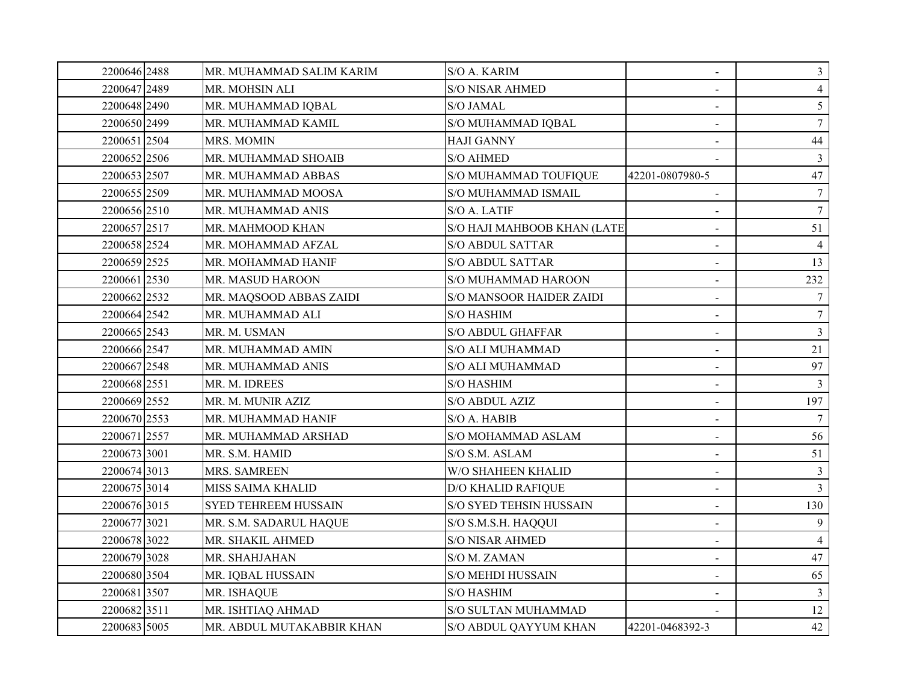| 2200646 2488 | MR. MUHAMMAD SALIM KARIM    | S/O A. KARIM                    | $\blacksquare$           | $\mathfrak{Z}$  |
|--------------|-----------------------------|---------------------------------|--------------------------|-----------------|
| 2200647 2489 | MR. MOHSIN ALI              | <b>S/O NISAR AHMED</b>          |                          | $\overline{4}$  |
| 2200648 2490 | MR. MUHAMMAD IQBAL          | <b>S/O JAMAL</b>                |                          | 5 <sup>5</sup>  |
| 2200650 2499 | MR. MUHAMMAD KAMIL          | S/O MUHAMMAD IQBAL              |                          | $7\overline{ }$ |
| 2200651 2504 | MRS. MOMIN                  | <b>HAJI GANNY</b>               | $\blacksquare$           | 44              |
| 2200652 2506 | MR. MUHAMMAD SHOAIB         | <b>S/O AHMED</b>                |                          | $\mathfrak{Z}$  |
| 2200653 2507 | MR. MUHAMMAD ABBAS          | S/O MUHAMMAD TOUFIQUE           | 42201-0807980-5          | 47              |
| 2200655 2509 | MR. MUHAMMAD MOOSA          | S/O MUHAMMAD ISMAIL             |                          | $7^{\circ}$     |
| 2200656 2510 | MR. MUHAMMAD ANIS           | S/O A. LATIF                    | $\blacksquare$           | $7\overline{ }$ |
| 2200657 2517 | MR. MAHMOOD KHAN            | S/O HAJI MAHBOOB KHAN (LATE)    |                          | 51              |
| 2200658 2524 | MR. MOHAMMAD AFZAL          | <b>S/O ABDUL SATTAR</b>         | $\blacksquare$           | $\overline{4}$  |
| 2200659 2525 | MR. MOHAMMAD HANIF          | <b>S/O ABDUL SATTAR</b>         | $\blacksquare$           | 13              |
| 2200661 2530 | MR. MASUD HAROON            | S/O MUHAMMAD HAROON             | $\blacksquare$           | 232             |
| 2200662 2532 | MR. MAQSOOD ABBAS ZAIDI     | <b>S/O MANSOOR HAIDER ZAIDI</b> | $\blacksquare$           | $7\overline{ }$ |
| 2200664 2542 | MR. MUHAMMAD ALI            | <b>S/O HASHIM</b>               |                          | $7\overline{ }$ |
| 2200665 2543 | MR. M. USMAN                | <b>S/O ABDUL GHAFFAR</b>        | $\blacksquare$           | $\overline{3}$  |
| 2200666 2547 | MR. MUHAMMAD AMIN           | <b>S/O ALI MUHAMMAD</b>         |                          | 21              |
| 2200667 2548 | MR. MUHAMMAD ANIS           | <b>S/O ALI MUHAMMAD</b>         | $\blacksquare$           | 97              |
| 2200668 2551 | MR. M. IDREES               | <b>S/O HASHIM</b>               | $\blacksquare$           | $\mathfrak{Z}$  |
| 2200669 2552 | MR. M. MUNIR AZIZ           | S/O ABDUL AZIZ                  | $\blacksquare$           | 197             |
| 2200670 2553 | MR. MUHAMMAD HANIF          | S/O A. HABIB                    |                          | $7\overline{ }$ |
| 2200671 2557 | MR. MUHAMMAD ARSHAD         | S/O MOHAMMAD ASLAM              | $\overline{\phantom{0}}$ | 56              |
| 2200673 3001 | MR. S.M. HAMID              | S/O S.M. ASLAM                  | $\overline{\phantom{0}}$ | 51              |
| 2200674 3013 | MRS. SAMREEN                | W/O SHAHEEN KHALID              | $\blacksquare$           | $\mathfrak{Z}$  |
| 2200675 3014 | MISS SAIMA KHALID           | <b>D/O KHALID RAFIQUE</b>       |                          | $\overline{3}$  |
| 2200676 3015 | <b>SYED TEHREEM HUSSAIN</b> | S/O SYED TEHSIN HUSSAIN         |                          | 130             |
| 2200677 3021 | MR. S.M. SADARUL HAQUE      | S/O S.M.S.H. HAQQUI             | $\blacksquare$           | 9               |
| 2200678 3022 | MR. SHAKIL AHMED            | <b>S/O NISAR AHMED</b>          |                          | $\overline{4}$  |
| 2200679 3028 | MR. SHAHJAHAN               | S/O M. ZAMAN                    |                          | 47              |
| 2200680 3504 | MR. IQBAL HUSSAIN           | <b>S/O MEHDI HUSSAIN</b>        |                          | 65              |
| 22006813507  | MR. ISHAQUE                 | <b>S/O HASHIM</b>               | $\blacksquare$           | $\mathbf{3}$    |
| 2200682 3511 | MR. ISHTIAQ AHMAD           | S/O SULTAN MUHAMMAD             |                          | 12              |
| 2200683 5005 | MR. ABDUL MUTAKABBIR KHAN   | <b>S/O ABDUL QAYYUM KHAN</b>    | 42201-0468392-3          | 42              |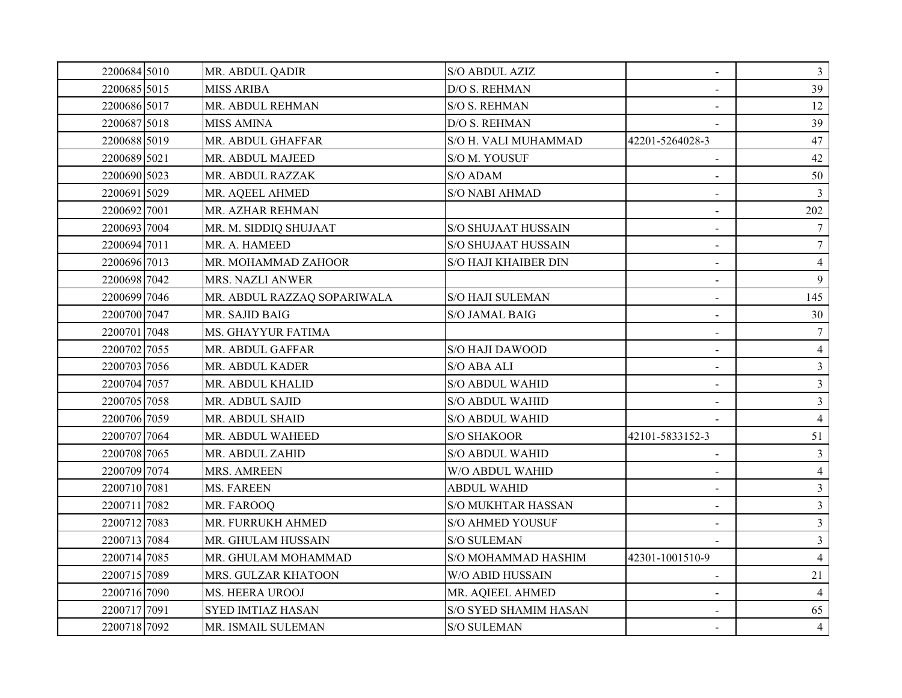| 2200684 5010 | MR. ABDUL QADIR             | S/O ABDUL AZIZ             | $\blacksquare$  | $\mathfrak{Z}$ |
|--------------|-----------------------------|----------------------------|-----------------|----------------|
| 2200685 5015 | <b>MISS ARIBA</b>           | D/O S. REHMAN              |                 | 39             |
| 2200686 5017 | MR. ABDUL REHMAN            | S/O S. REHMAN              |                 | 12             |
| 2200687 5018 | <b>MISS AMINA</b>           | D/O S. REHMAN              |                 | 39             |
| 2200688 5019 | MR. ABDUL GHAFFAR           | S/O H. VALI MUHAMMAD       | 42201-5264028-3 | 47             |
| 2200689 5021 | MR. ABDUL MAJEED            | S/O M. YOUSUF              |                 | 42             |
| 2200690 5023 | MR. ABDUL RAZZAK            | S/O ADAM                   |                 | 50             |
| 2200691 5029 | MR. AQEEL AHMED             | <b>S/O NABI AHMAD</b>      |                 | 3              |
| 2200692 7001 | MR. AZHAR REHMAN            |                            | $\blacksquare$  | 202            |
| 2200693 7004 | MR. M. SIDDIQ SHUJAAT       | <b>S/O SHUJAAT HUSSAIN</b> |                 | $\tau$         |
| 2200694 7011 | MR. A. HAMEED               | <b>S/O SHUJAAT HUSSAIN</b> | $\sim$          | $\tau$         |
| 2200696 7013 | MR. MOHAMMAD ZAHOOR         | S/O HAJI KHAIBER DIN       | $\blacksquare$  | $\overline{4}$ |
| 2200698 7042 | <b>MRS. NAZLI ANWER</b>     |                            | $\blacksquare$  | 9              |
| 2200699 7046 | MR. ABDUL RAZZAQ SOPARIWALA | <b>S/O HAJI SULEMAN</b>    |                 | 145            |
| 2200700 7047 | MR. SAJID BAIG              | <b>S/O JAMAL BAIG</b>      |                 | 30             |
| 2200701 7048 | MS. GHAYYUR FATIMA          |                            | $\blacksquare$  | 7              |
| 2200702 7055 | MR. ABDUL GAFFAR            | <b>S/O HAJI DAWOOD</b>     |                 | $\overline{4}$ |
| 2200703 7056 | MR. ABDUL KADER             | S/O ABA ALI                | $\overline{a}$  | $\overline{3}$ |
| 2200704 7057 | MR. ABDUL KHALID            | <b>S/O ABDUL WAHID</b>     |                 | $\mathfrak{Z}$ |
| 2200705 7058 | MR. ADBUL SAJID             | <b>S/O ABDUL WAHID</b>     | $\sim$          | $\overline{3}$ |
| 2200706 7059 | MR. ABDUL SHAID             | <b>S/O ABDUL WAHID</b>     |                 | $\overline{4}$ |
| 2200707 7064 | MR. ABDUL WAHEED            | S/O SHAKOOR                | 42101-5833152-3 | 51             |
| 2200708 7065 | MR. ABDUL ZAHID             | <b>S/O ABDUL WAHID</b>     |                 | $\mathfrak{Z}$ |
| 2200709 7074 | MRS. AMREEN                 | W/O ABDUL WAHID            | $\blacksquare$  | $\overline{4}$ |
| 2200710 7081 | <b>MS. FAREEN</b>           | <b>ABDUL WAHID</b>         |                 | $\overline{3}$ |
| 2200711 7082 | MR. FAROOQ                  | <b>S/O MUKHTAR HASSAN</b>  |                 | $\overline{3}$ |
| 2200712 7083 | MR. FURRUKH AHMED           | <b>S/O AHMED YOUSUF</b>    |                 | $\overline{3}$ |
| 2200713 7084 | MR. GHULAM HUSSAIN          | <b>S/O SULEMAN</b>         |                 | $\mathfrak{Z}$ |
| 2200714 7085 | MR. GHULAM MOHAMMAD         | S/O MOHAMMAD HASHIM        | 42301-1001510-9 | $\overline{4}$ |
| 2200715 7089 | MRS. GULZAR KHATOON         | W/O ABID HUSSAIN           |                 | 21             |
| 2200716 7090 | MS. HEERA UROOJ             | MR. AQIEEL AHMED           | $\blacksquare$  | $\overline{4}$ |
| 2200717 7091 | <b>SYED IMTIAZ HASAN</b>    | S/O SYED SHAMIM HASAN      |                 | 65             |
| 2200718 7092 | MR. ISMAIL SULEMAN          | <b>S/O SULEMAN</b>         |                 | $\overline{4}$ |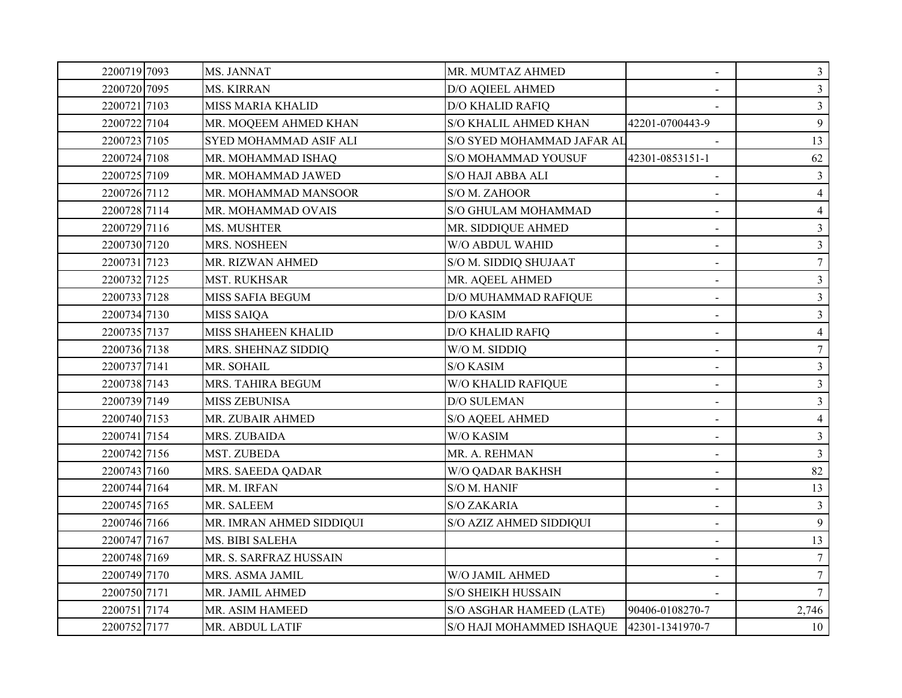| 2200719 7093 | MS. JANNAT                    | MR. MUMTAZ AHMED                          | $\blacksquare$           | $\mathfrak{Z}$  |
|--------------|-------------------------------|-------------------------------------------|--------------------------|-----------------|
| 2200720 7095 | <b>MS. KIRRAN</b>             | D/O AQIEEL AHMED                          |                          | $\overline{3}$  |
| 2200721 7103 | <b>MISS MARIA KHALID</b>      | <b>D/O KHALID RAFIQ</b>                   |                          | 3 <sup>1</sup>  |
| 2200722 7104 | MR. MOQEEM AHMED KHAN         | S/O KHALIL AHMED KHAN                     | 42201-0700443-9          | 9               |
| 2200723 7105 | <b>SYED MOHAMMAD ASIF ALI</b> | S/O SYED MOHAMMAD JAFAR AL                |                          | 13              |
| 2200724 7108 | MR. MOHAMMAD ISHAQ            | S/O MOHAMMAD YOUSUF                       | 42301-0853151-1          | 62              |
| 2200725 7109 | MR. MOHAMMAD JAWED            | <b>S/O HAJI ABBA ALI</b>                  |                          | 3               |
| 2200726 7112 | MR. MOHAMMAD MANSOOR          | S/O M. ZAHOOR                             |                          | $\overline{4}$  |
| 2200728 7114 | MR. MOHAMMAD OVAIS            | S/O GHULAM MOHAMMAD                       | $\blacksquare$           | $\overline{4}$  |
| 2200729 7116 | MS. MUSHTER                   | MR. SIDDIQUE AHMED                        |                          | $\overline{3}$  |
| 2200730 7120 | MRS. NOSHEEN                  | W/O ABDUL WAHID                           | $\sim$                   | $\overline{3}$  |
| 2200731 7123 | MR. RIZWAN AHMED              | S/O M. SIDDIQ SHUJAAT                     | $\overline{\phantom{0}}$ | $\overline{7}$  |
| 2200732 7125 | <b>MST. RUKHSAR</b>           | MR. AQEEL AHMED                           | $\overline{\phantom{0}}$ | $\mathfrak{Z}$  |
| 2200733 7128 | MISS SAFIA BEGUM              | D/O MUHAMMAD RAFIQUE                      |                          | $\overline{3}$  |
| 2200734 7130 | <b>MISS SAIQA</b>             | <b>D/O KASIM</b>                          |                          | $\overline{3}$  |
| 2200735 7137 | MISS SHAHEEN KHALID           | <b>D/O KHALID RAFIQ</b>                   | $\blacksquare$           | $\overline{4}$  |
| 2200736 7138 | MRS. SHEHNAZ SIDDIQ           | W/O M. SIDDIQ                             |                          | $7\phantom{.0}$ |
| 2200737 7141 | MR. SOHAIL                    | S/O KASIM                                 |                          | $\mathbf{3}$    |
| 2200738 7143 | MRS. TAHIRA BEGUM             | W/O KHALID RAFIQUE                        | $\blacksquare$           | $\overline{3}$  |
| 2200739 7149 | <b>MISS ZEBUNISA</b>          | D/O SULEMAN                               | $\blacksquare$           | $\overline{3}$  |
| 2200740 7153 | MR. ZUBAIR AHMED              | <b>S/O AQEEL AHMED</b>                    | $\overline{\phantom{a}}$ | $\overline{4}$  |
| 2200741 7154 | MRS. ZUBAIDA                  | W/O KASIM                                 | $\blacksquare$           | $\overline{3}$  |
| 2200742 7156 | MST. ZUBEDA                   | MR. A. REHMAN                             | $\blacksquare$           | $\mathfrak{Z}$  |
| 2200743 7160 | MRS. SAEEDA QADAR             | W/O QADAR BAKHSH                          | $\blacksquare$           | 82              |
| 2200744 7164 | MR. M. IRFAN                  | S/O M. HANIF                              |                          | 13              |
| 2200745 7165 | MR. SALEEM                    | <b>S/O ZAKARIA</b>                        | $\sim$                   | $\mathfrak{Z}$  |
| 2200746 7166 | MR. IMRAN AHMED SIDDIQUI      | S/O AZIZ AHMED SIDDIQUI                   | $\blacksquare$           | 9               |
| 2200747 7167 | MS. BIBI SALEHA               |                                           |                          | 13              |
| 2200748 7169 | MR. S. SARFRAZ HUSSAIN        |                                           |                          | 7 <sup>1</sup>  |
| 2200749 7170 | MRS. ASMA JAMIL               | W/O JAMIL AHMED                           |                          | 7 <sup>1</sup>  |
| 2200750 7171 | MR. JAMIL AHMED               | <b>S/O SHEIKH HUSSAIN</b>                 |                          | $7\overline{ }$ |
| 2200751 7174 | MR. ASIM HAMEED               | S/O ASGHAR HAMEED (LATE)                  | 90406-0108270-7          | 2,746           |
| 2200752 7177 | MR. ABDUL LATIF               | S/O HAJI MOHAMMED ISHAQUE 42301-1341970-7 |                          | 10              |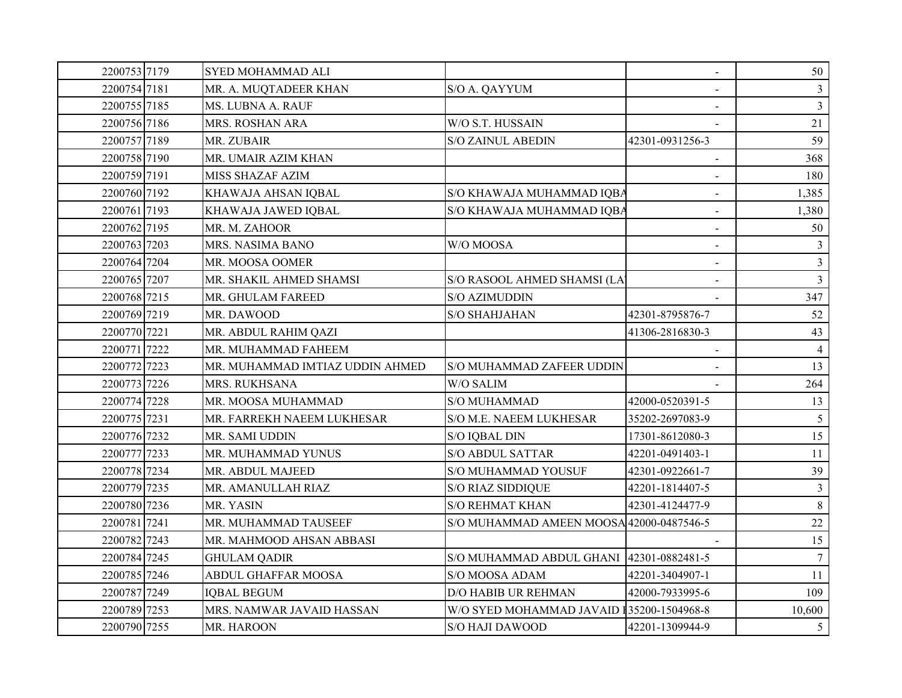| 2200753 7179 | <b>SYED MOHAMMAD ALI</b>        |                                           | $\blacksquare$  | 50              |
|--------------|---------------------------------|-------------------------------------------|-----------------|-----------------|
| 2200754 7181 | MR. A. MUQTADEER KHAN           | S/O A. QAYYUM                             |                 | $\mathfrak{Z}$  |
| 2200755 7185 | MS. LUBNA A. RAUF               |                                           |                 | $\overline{3}$  |
| 2200756 7186 | MRS. ROSHAN ARA                 | W/O S.T. HUSSAIN                          |                 | 21              |
| 2200757 7189 | MR. ZUBAIR                      | <b>S/O ZAINUL ABEDIN</b>                  | 42301-0931256-3 | 59              |
| 2200758 7190 | MR. UMAIR AZIM KHAN             |                                           |                 | 368             |
| 2200759 7191 | <b>MISS SHAZAF AZIM</b>         |                                           |                 | 180             |
| 2200760 7192 | KHAWAJA AHSAN IQBAL             | S/O KHAWAJA MUHAMMAD IQBA                 |                 | 1,385           |
| 2200761 7193 | KHAWAJA JAWED IQBAL             | S/O KHAWAJA MUHAMMAD IQBA                 | $\blacksquare$  | 1,380           |
| 2200762 7195 | MR. M. ZAHOOR                   |                                           | $\blacksquare$  | 50              |
| 2200763 7203 | MRS. NASIMA BANO                | W/O MOOSA                                 | $\sim$          | 3               |
| 2200764 7204 | MR. MOOSA OOMER                 |                                           | $\blacksquare$  | $\overline{3}$  |
| 2200765 7207 | MR. SHAKIL AHMED SHAMSI         | S/O RASOOL AHMED SHAMSI (LA               | $\blacksquare$  | $\overline{3}$  |
| 2200768 7215 | MR. GHULAM FAREED               | S/O AZIMUDDIN                             |                 | 347             |
| 2200769 7219 | MR. DAWOOD                      | S/O SHAHJAHAN                             | 42301-8795876-7 | 52              |
| 2200770 7221 | MR. ABDUL RAHIM QAZI            |                                           | 41306-2816830-3 | 43              |
| 2200771 7222 | MR. MUHAMMAD FAHEEM             |                                           |                 | $\overline{4}$  |
| 2200772 7223 | MR. MUHAMMAD IMTIAZ UDDIN AHMED | S/O MUHAMMAD ZAFEER UDDIN                 |                 | 13              |
| 2200773 7226 | MRS. RUKHSANA                   | W/O SALIM                                 |                 | 264             |
| 2200774 7228 | MR. MOOSA MUHAMMAD              | <b>S/O MUHAMMAD</b>                       | 42000-0520391-5 | 13              |
| 2200775 7231 | MR. FARREKH NAEEM LUKHESAR      | S/O M.E. NAEEM LUKHESAR                   | 35202-2697083-9 | $5\overline{)}$ |
| 2200776 7232 | MR. SAMI UDDIN                  | <b>S/O IQBAL DIN</b>                      | 17301-8612080-3 | 15              |
| 2200777 7233 | MR. MUHAMMAD YUNUS              | <b>S/O ABDUL SATTAR</b>                   | 42201-0491403-1 | $11\,$          |
| 2200778 7234 | MR. ABDUL MAJEED                | S/O MUHAMMAD YOUSUF                       | 42301-0922661-7 | 39              |
| 2200779 7235 | MR. AMANULLAH RIAZ              | <b>S/O RIAZ SIDDIQUE</b>                  | 42201-1814407-5 | $\mathfrak{Z}$  |
| 2200780 7236 | MR. YASIN                       | <b>S/O REHMAT KHAN</b>                    | 42301-4124477-9 | 8               |
| 2200781 7241 | MR. MUHAMMAD TAUSEEF            | S/O MUHAMMAD AMEEN MOOSA 42000-0487546-5  |                 | 22              |
| 2200782 7243 | MR. MAHMOOD AHSAN ABBASI        |                                           |                 | 15              |
| 2200784 7245 | <b>GHULAM QADIR</b>             | S/O MUHAMMAD ABDUL GHANI 42301-0882481-5  |                 | $\overline{7}$  |
| 2200785 7246 | ABDUL GHAFFAR MOOSA             | S/O MOOSA ADAM                            | 42201-3404907-1 | 11              |
| 2200787 7249 | <b>IQBAL BEGUM</b>              | <b>D/O HABIB UR REHMAN</b>                | 42000-7933995-6 | 109             |
| 2200789 7253 | MRS. NAMWAR JAVAID HASSAN       | W/O SYED MOHAMMAD JAVAID 135200-1504968-8 |                 | 10,600          |
| 2200790 7255 | MR. HAROON                      | S/O HAJI DAWOOD                           | 42201-1309944-9 | 5 <sup>5</sup>  |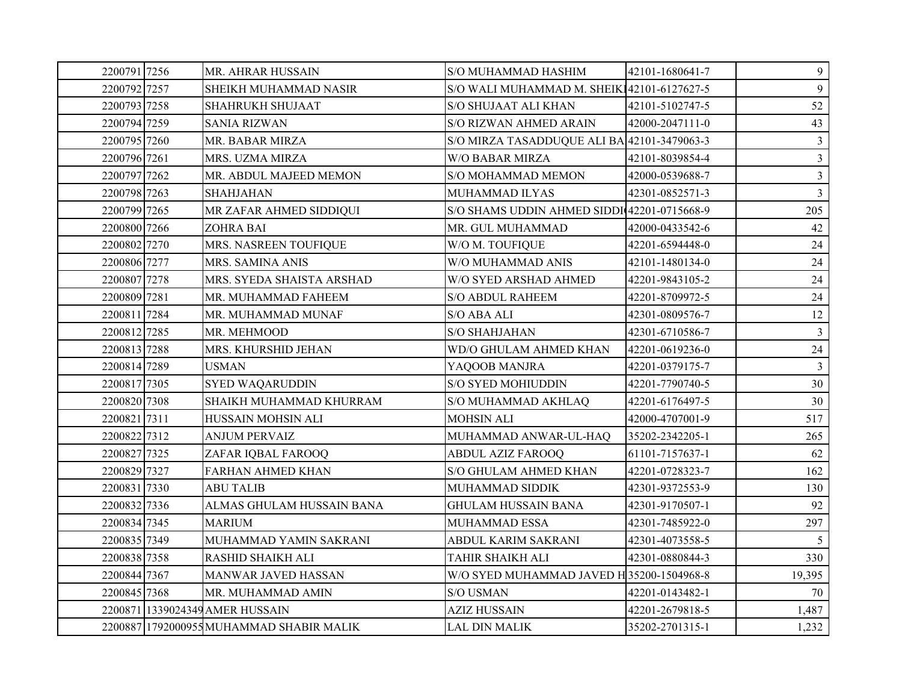| 2200791 7256 | MR. AHRAR HUSSAIN                        | S/O MUHAMMAD HASHIM                         | 42101-1680641-7 | 9              |
|--------------|------------------------------------------|---------------------------------------------|-----------------|----------------|
| 2200792 7257 | SHEIKH MUHAMMAD NASIR                    | S/O WALI MUHAMMAD M. SHEIK142101-6127627-5  |                 | 9              |
| 2200793 7258 | <b>SHAHRUKH SHUJAAT</b>                  | S/O SHUJAAT ALI KHAN                        | 42101-5102747-5 | 52             |
| 2200794 7259 | <b>SANIA RIZWAN</b>                      | S/O RIZWAN AHMED ARAIN                      | 42000-2047111-0 | 43             |
| 2200795 7260 | MR. BABAR MIRZA                          | S/O MIRZA TASADDUQUE ALI BA 42101-3479063-3 |                 | $\mathfrak{Z}$ |
| 2200796 7261 | MRS. UZMA MIRZA                          | <b>W/O BABAR MIRZA</b>                      | 42101-8039854-4 | $\mathfrak{Z}$ |
| 2200797 7262 | MR. ABDUL MAJEED MEMON                   | S/O MOHAMMAD MEMON                          | 42000-0539688-7 | $\mathfrak{Z}$ |
| 2200798 7263 | <b>SHAHJAHAN</b>                         | MUHAMMAD ILYAS                              | 42301-0852571-3 | $\mathfrak{Z}$ |
| 2200799 7265 | MR ZAFAR AHMED SIDDIQUI                  | S/O SHAMS UDDIN AHMED SIDDI 42201-0715668-9 |                 | 205            |
| 2200800 7266 | <b>ZOHRA BAI</b>                         | MR. GUL MUHAMMAD                            | 42000-0433542-6 | 42             |
| 2200802 7270 | MRS. NASREEN TOUFIQUE                    | W/O M. TOUFIQUE                             | 42201-6594448-0 | 24             |
| 2200806 7277 | MRS. SAMINA ANIS                         | W/O MUHAMMAD ANIS                           | 42101-1480134-0 | 24             |
| 2200807 7278 | MRS. SYEDA SHAISTA ARSHAD                | W/O SYED ARSHAD AHMED                       | 42201-9843105-2 | 24             |
| 2200809 7281 | MR. MUHAMMAD FAHEEM                      | <b>S/O ABDUL RAHEEM</b>                     | 42201-8709972-5 | 24             |
| 2200811 7284 | MR. MUHAMMAD MUNAF                       | S/O ABA ALI                                 | 42301-0809576-7 | 12             |
| 2200812 7285 | MR. MEHMOOD                              | S/O SHAHJAHAN                               | 42301-6710586-7 | $\mathbf{3}$   |
| 2200813 7288 | MRS. KHURSHID JEHAN                      | WD/O GHULAM AHMED KHAN                      | 42201-0619236-0 | 24             |
| 2200814 7289 | <b>USMAN</b>                             | YAQOOB MANJRA                               | 42201-0379175-7 | $\mathfrak{Z}$ |
| 2200817 7305 | <b>SYED WAQARUDDIN</b>                   | S/O SYED MOHIUDDIN                          | 42201-7790740-5 | 30             |
| 2200820 7308 | SHAIKH MUHAMMAD KHURRAM                  | S/O MUHAMMAD AKHLAQ                         | 42201-6176497-5 | 30             |
| 2200821 7311 | HUSSAIN MOHSIN ALI                       | <b>MOHSIN ALI</b>                           | 42000-4707001-9 | 517            |
| 2200822 7312 | <b>ANJUM PERVAIZ</b>                     | MUHAMMAD ANWAR-UL-HAQ                       | 35202-2342205-1 | 265            |
| 2200827 7325 | ZAFAR IQBAL FAROOQ                       | <b>ABDUL AZIZ FAROOQ</b>                    | 61101-7157637-1 | 62             |
| 2200829 7327 | <b>FARHAN AHMED KHAN</b>                 | S/O GHULAM AHMED KHAN                       | 42201-0728323-7 | 162            |
| 2200831 7330 | <b>ABU TALIB</b>                         | MUHAMMAD SIDDIK                             | 42301-9372553-9 | 130            |
| 2200832 7336 | ALMAS GHULAM HUSSAIN BANA                | <b>GHULAM HUSSAIN BANA</b>                  | 42301-9170507-1 | 92             |
| 2200834 7345 | <b>MARIUM</b>                            | MUHAMMAD ESSA                               | 42301-7485922-0 | 297            |
| 2200835 7349 | MUHAMMAD YAMIN SAKRANI                   | ABDUL KARIM SAKRANI                         | 42301-4073558-5 | 5 <sup>5</sup> |
| 2200838 7358 | <b>RASHID SHAIKH ALI</b>                 | TAHIR SHAIKH ALI                            | 42301-0880844-3 | 330            |
| 2200844 7367 | MANWAR JAVED HASSAN                      | W/O SYED MUHAMMAD JAVED H 35200-1504968-8   |                 | 19,395         |
| 2200845 7368 | MR. MUHAMMAD AMIN                        | <b>S/O USMAN</b>                            | 42201-0143482-1 | 70             |
|              | 2200871 1339024349 AMER HUSSAIN          | <b>AZIZ HUSSAIN</b>                         | 42201-2679818-5 | 1,487          |
|              | 2200887 1792000955 MUHAMMAD SHABIR MALIK | <b>LAL DIN MALIK</b>                        | 35202-2701315-1 | 1,232          |